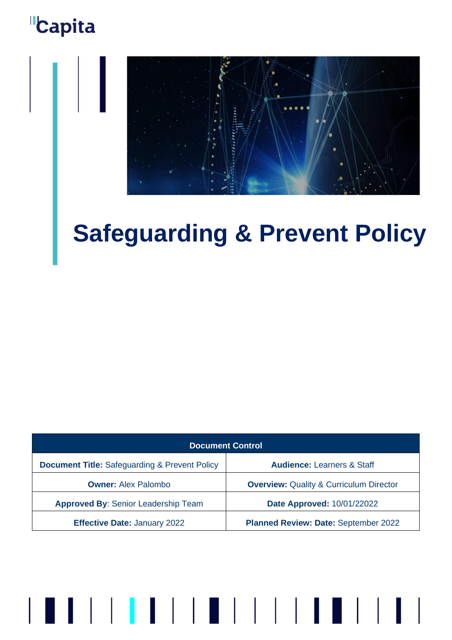

# **Safeguarding & Prevent Policy**

| <b>Document Control</b>                                  |                                                    |
|----------------------------------------------------------|----------------------------------------------------|
| <b>Document Title: Safeguarding &amp; Prevent Policy</b> | <b>Audience: Learners &amp; Staff</b>              |
| <b>Owner: Alex Palombo</b>                               | <b>Overview: Quality &amp; Curriculum Director</b> |
| <b>Approved By: Senior Leadership Team</b>               | Date Approved: 10/01/22022                         |
| <b>Effective Date: January 2022</b>                      | Planned Review: Date: September 2022               |

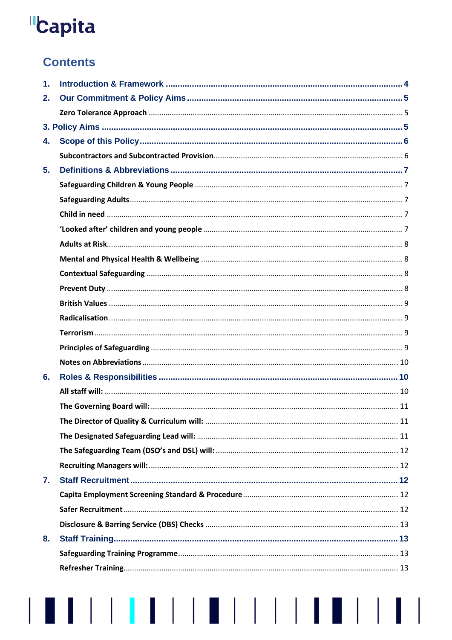# **Contents**

| 1. |  |
|----|--|
| 2. |  |
|    |  |
|    |  |
| 4. |  |
|    |  |
| 5. |  |
|    |  |
|    |  |
|    |  |
|    |  |
|    |  |
|    |  |
|    |  |
|    |  |
|    |  |
|    |  |
|    |  |
|    |  |
|    |  |
| 6. |  |
|    |  |
|    |  |
|    |  |
|    |  |
|    |  |
|    |  |
| 7. |  |
|    |  |
|    |  |
|    |  |
| 8. |  |
|    |  |
|    |  |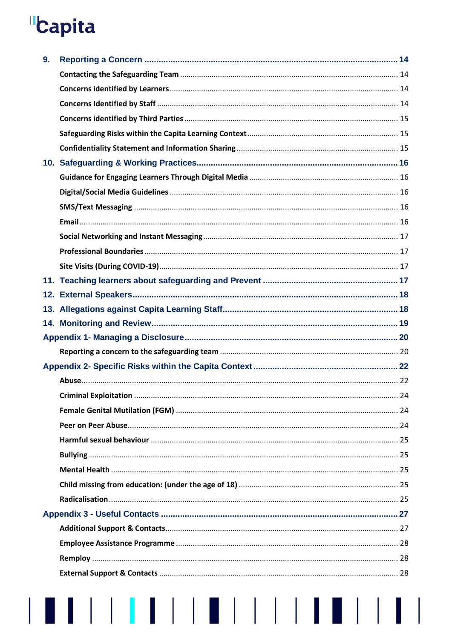$\begin{array}{c} \hline \end{array}$ 

| 9. |  |
|----|--|
|    |  |
|    |  |
|    |  |
|    |  |
|    |  |
|    |  |
|    |  |
|    |  |
|    |  |
|    |  |
|    |  |
|    |  |
|    |  |
|    |  |
|    |  |
|    |  |
|    |  |
|    |  |
|    |  |
|    |  |
|    |  |
|    |  |
|    |  |
|    |  |
|    |  |
|    |  |
|    |  |
|    |  |
|    |  |
|    |  |
|    |  |
|    |  |
|    |  |
|    |  |
|    |  |
|    |  |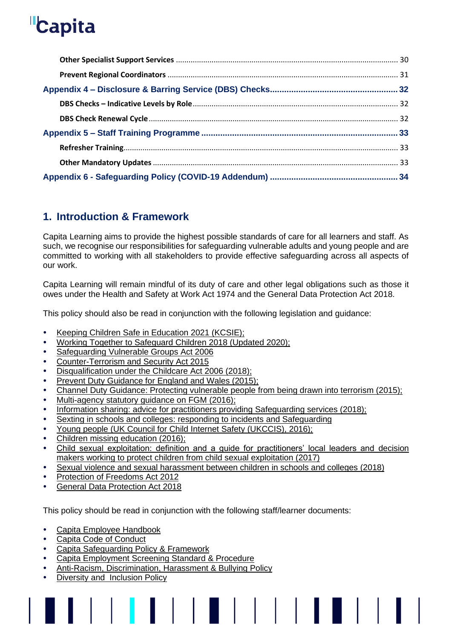# <span id="page-3-0"></span>**1. Introduction & Framework**

Capita Learning aims to provide the highest possible standards of care for all learners and staff. As such, we recognise our responsibilities for safeguarding vulnerable adults and young people and are committed to working with all stakeholders to provide effective safeguarding across all aspects of our work.

Capita Learning will remain mindful of its duty of care and other legal obligations such as those it owes under the Health and Safety at Work Act 1974 and the General Data Protection Act 2018.

This policy should also be read in conjunction with the following legislation and guidance:

- [Keeping Children Safe in Education 2021 \(KCSIE\);](https://www.gov.uk/government/publications/keeping-children-safe-in-education--2)
- [Working Together to Safeguard Children 2018 \(Updated 2020\);](https://www.gov.uk/government/publications/working-together-to-safeguard-children--2)
- [Safeguarding Vulnerable Groups Act 2006](https://www.legislation.gov.uk/ukpga/2006/47/pdfs/ukpga_20060047_en.pdf)
- [Counter-Terrorism and Security Act 2015](https://www.gov.uk/government/collections/counter-terrorism-and-security-bill)
- [Disqualification under the Childcare Act 2006 \(2018\);](https://www.gov.uk/government/publications/disqualification-under-the-childcare-act-2006/disqualification-under-the-childcare-act-2006)
- [Prevent Duty Guidance for England and Wales \(2015\);](https://www.gov.uk/government/publications/prevent-duty-guidance)
- [Channel Duty Guidance: Protecting vulnerable people from being drawn into terrorism \(2015\);](https://www.gov.uk/government/publications/channel-guidance)
- [Multi-agency statutory guidance on FGM \(2016\)](https://www.gov.uk/government/publications/multi-agency-statutory-guidance-on-female-genital-mutilation);
- [Information sharing: advice for practitioners providing Safeguarding services \(2018\);](https://www.gov.uk/government/publications/safeguarding-practitioners-information-sharing-advice)
- [Sexting in schools and colleges: responding to incidents and Safeguarding](https://www.gov.uk/government/publications/sexting-in-schools-and-colleges)
- [Young people \(UK Council for Child Internet Safety \(UKCCIS\), 2016\);](https://www.gov.uk/government/groups/uk-council-for-child-internet-safety-ukccis)
- [Children missing education \(2016\);](https://www.gov.uk/government/publications/children-missing-education)
- [Child sexual exploitation: definition and a guide for practitioners' local leaders and decision](Child%20sexual%20exploitation:%20definition%20and%20guide%20for%20practitioners%20(2017))  [makers working to protect children from child sexual exploitation \(2017\)](Child%20sexual%20exploitation:%20definition%20and%20guide%20for%20practitioners%20(2017))

- [Sexual violence and sexual harassment between children in schools and colleges \(2018\)](https://www.gov.uk/government/publications/sexual-violence-and-sexual-harassment-between-children-in-schools-and-colleges)
- [Protection of Freedoms Act 2012](https://assets.publishing.service.gov.uk/government/uploads/system/uploads/attachment_data/file/896646/CCS207_CCS0320361548-001_Proposed_revisions_to_PoFA_2012_guidance_on_making_or_renewing_NSDs_markup_Web_Accessible.pdf)
- [General Data Protection Act 2018](https://www.legislation.gov.uk/ukpga/2018/12/contents/enacted)

This policy should be read in conjunction with the following staff/learner documents:

- [Capita Employee](https://capitapeoplehub.custhelp.com/app/answers/detail/a_id/583/kw/employee%20handbook) Handbook
- [Capita Code of Conduct](http://documents.capitaconnections.capita.zone/Published%20Documents/Code%20of%20Conduct.pdf)
- [Capita Safeguarding](http://capitaconnections.capita.zone/business-support/safeguarding) Policy & Framework
- [Capita Employment Screening Standard & Procedure](http://documents.capitaconnections.capita.zone/Published%20Documents/Employee%20Screening%20UK%20ROL%20IOM%20-%20Standard.pdf)
- [Anti-Racism, Discrimination, Harassment & Bullying Policy](https://capitapeoplehub.custhelp.com/app/answers/detail/a_id/1233/kw/%EF%82%9F)
- [Diversity and Inclusion Policy](https://www.capita.com/sites/g/files/nginej291/files/2019-11/Diversity%20and%20Inclusion%20Policy.pdf)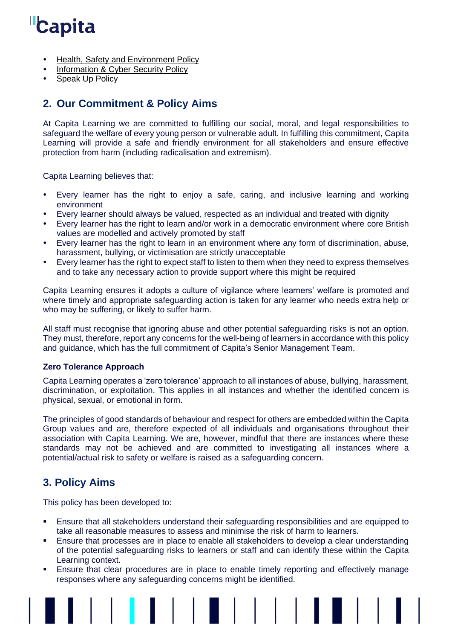- Health, Safety [and Environment Policy](https://capitapeoplehub.custhelp.com/app/answers/detail/a_id/1080)
- **[Information & Cyber Security Policy](https://www.capita.com/sites/g/files/nginej291/files/2019-09/capita-information-and-cyber-security-policy.pdf)**
- <span id="page-4-0"></span>[Speak Up](http://documents.capitaconnections.capita.zone/Published%20Documents/Speak%20Up%20-%20Policy%20(Global).pdf) Policy

# **2. Our Commitment & Policy Aims**

At Capita Learning we are committed to fulfilling our social, moral, and legal responsibilities to safeguard the welfare of every young person or vulnerable adult. In fulfilling this commitment, Capita Learning will provide a safe and friendly environment for all stakeholders and ensure effective protection from harm (including radicalisation and extremism).

Capita Learning believes that:

- Every learner has the right to enjoy a safe, caring, and inclusive learning and working environment
- Every learner should always be valued, respected as an individual and treated with dignity
- Every learner has the right to learn and/or work in a democratic environment where core British values are modelled and actively promoted by staff
- Every learner has the right to learn in an environment where any form of discrimination, abuse, harassment, bullying, or victimisation are strictly unacceptable
- Every learner has the right to expect staff to listen to them when they need to express themselves and to take any necessary action to provide support where this might be required

Capita Learning ensures it adopts a culture of vigilance where learners' welfare is promoted and where timely and appropriate safeguarding action is taken for any learner who needs extra help or who may be suffering, or likely to suffer harm.

All staff must recognise that ignoring abuse and other potential safeguarding risks is not an option. They must, therefore, report any concerns for the well-being of learners in accordance with this policy and guidance, which has the full commitment of Capita's Senior Management Team.

## <span id="page-4-1"></span>**Zero Tolerance Approach**

Capita Learning operates a 'zero tolerance' approach to all instances of abuse, bullying, harassment, discrimination, or exploitation. This applies in all instances and whether the identified concern is physical, sexual, or emotional in form.

The principles of good standards of behaviour and respect for others are embedded within the Capita Group values and are, therefore expected of all individuals and organisations throughout their association with Capita Learning. We are, however, mindful that there are instances where these standards may not be achieved and are committed to investigating all instances where a potential/actual risk to safety or welfare is raised as a safeguarding concern.

# <span id="page-4-2"></span>**3. Policy Aims**

This policy has been developed to:

- Ensure that all stakeholders understand their safeguarding responsibilities and are equipped to take all reasonable measures to assess and minimise the risk of harm to learners.
- Ensure that processes are in place to enable all stakeholders to develop a clear understanding of the potential safeguarding risks to learners or staff and can identify these within the Capita Learning context.
- **Ensure that clear procedures are in place to enable timely reporting and effectively manage** responses where any safeguarding concerns might be identified.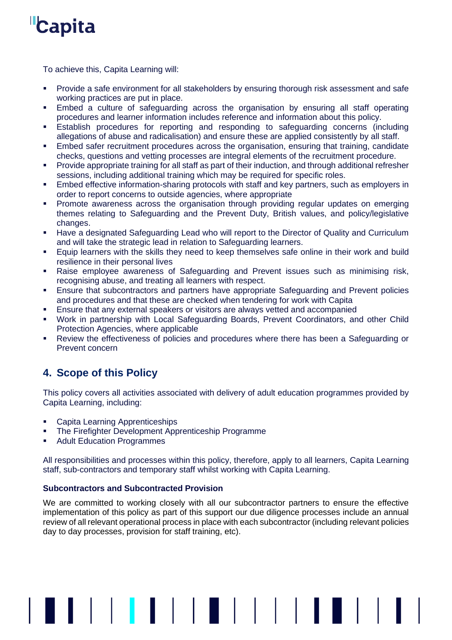

To achieve this, Capita Learning will:

- Provide a safe environment for all stakeholders by ensuring thorough risk assessment and safe working practices are put in place.
- **Embed a culture of safeguarding across the organisation by ensuring all staff operating** procedures and learner information includes reference and information about this policy.
- **Establish procedures for reporting and responding to safeguarding concerns (including** allegations of abuse and radicalisation) and ensure these are applied consistently by all staff.
- **Embed safer recruitment procedures across the organisation, ensuring that training, candidate** checks, questions and vetting processes are integral elements of the recruitment procedure.
- Provide appropriate training for all staff as part of their induction, and through additional refresher sessions, including additional training which may be required for specific roles.
- **Embed effective information-sharing protocols with staff and key partners, such as employers in** order to report concerns to outside agencies, where appropriate
- **•** Promote awareness across the organisation through providing regular updates on emerging themes relating to Safeguarding and the Prevent Duty, British values, and policy/legislative changes.
- Have a designated Safeguarding Lead who will report to the Director of Quality and Curriculum and will take the strategic lead in relation to Safeguarding learners.
- Equip learners with the skills they need to keep themselves safe online in their work and build resilience in their personal lives
- Raise employee awareness of Safeguarding and Prevent issues such as minimising risk, recognising abuse, and treating all learners with respect.
- **Ensure that subcontractors and partners have appropriate Safeguarding and Prevent policies** and procedures and that these are checked when tendering for work with Capita
- **Ensure that any external speakers or visitors are always vetted and accompanied**
- Work in partnership with Local Safeguarding Boards, Prevent Coordinators, and other Child Protection Agencies, where applicable
- Review the effectiveness of policies and procedures where there has been a Safeguarding or Prevent concern

# <span id="page-5-0"></span>**4. Scope of this Policy**

This policy covers all activities associated with delivery of adult education programmes provided by Capita Learning, including:

- Capita Learning Apprenticeships
- The Firefighter Development Apprenticeship Programme
- Adult Education Programmes

All responsibilities and processes within this policy, therefore, apply to all learners, Capita Learning staff, sub-contractors and temporary staff whilst working with Capita Learning.

## <span id="page-5-1"></span>**Subcontractors and Subcontracted Provision**

We are committed to working closely with all our subcontractor partners to ensure the effective implementation of this policy as part of this support our due diligence processes include an annual review of all relevant operational process in place with each subcontractor (including relevant policies day to day processes, provision for staff training, etc).

▌▌▏▏▏**▏▎▏▏▏▏▊▏▏▏▏▏▏▏**▏▏▏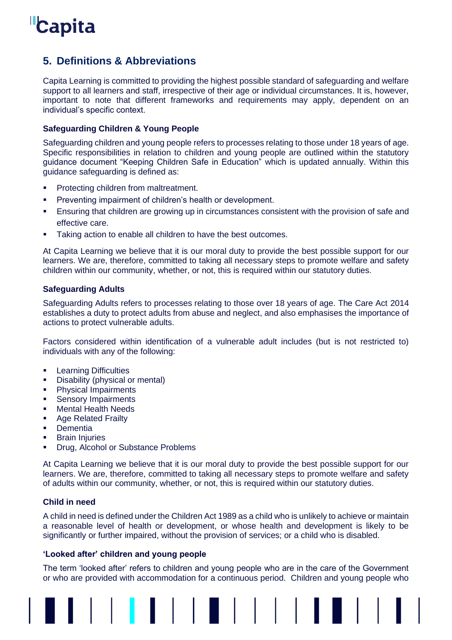

# <span id="page-6-0"></span>**5. Definitions & Abbreviations**

Capita Learning is committed to providing the highest possible standard of safeguarding and welfare support to all learners and staff, irrespective of their age or individual circumstances. It is, however, important to note that different frameworks and requirements may apply, dependent on an individual's specific context.

## <span id="page-6-1"></span>**Safeguarding Children & Young People**

Safeguarding children and young people refers to processes relating to those under 18 years of age. Specific responsibilities in relation to children and young people are outlined within the statutory guidance document "Keeping Children Safe in Education" which is updated annually. Within this guidance safeguarding is defined as:

- **Protecting children from maltreatment.**
- Preventing impairment of children's health or development.
- **Ensuring that children are growing up in circumstances consistent with the provision of safe and** effective care.
- Taking action to enable all children to have the best outcomes.

At Capita Learning we believe that it is our moral duty to provide the best possible support for our learners. We are, therefore, committed to taking all necessary steps to promote welfare and safety children within our community, whether, or not, this is required within our statutory duties.

### <span id="page-6-2"></span>**Safeguarding Adults**

Safeguarding Adults refers to processes relating to those over 18 years of age. The Care Act 2014 establishes a duty to protect adults from abuse and neglect, and also emphasises the importance of actions to protect vulnerable adults.

Factors considered within identification of a vulnerable adult includes (but is not restricted to) individuals with any of the following:

- Learning Difficulties
- Disability (physical or mental)
- **•** Physical Impairments
- **•** Sensory Impairments
- Mental Health Needs
- Age Related Frailty
- Dementia
- **Brain Injuries**
- **Drug, Alcohol or Substance Problems**

At Capita Learning we believe that it is our moral duty to provide the best possible support for our learners. We are, therefore, committed to taking all necessary steps to promote welfare and safety of adults within our community, whether, or not, this is required within our statutory duties.

## <span id="page-6-3"></span>**Child in need**

A child in need is defined under the Children Act 1989 as a child who is unlikely to achieve or maintain a reasonable level of health or development, or whose health and development is likely to be significantly or further impaired, without the provision of services; or a child who is disabled.

#### <span id="page-6-4"></span>**'Looked after' children and young people**

The term 'looked after' refers to children and young people who are in the care of the Government or who are provided with accommodation for a continuous period. Children and young people who

. . . . . . . . . . . . . . . . .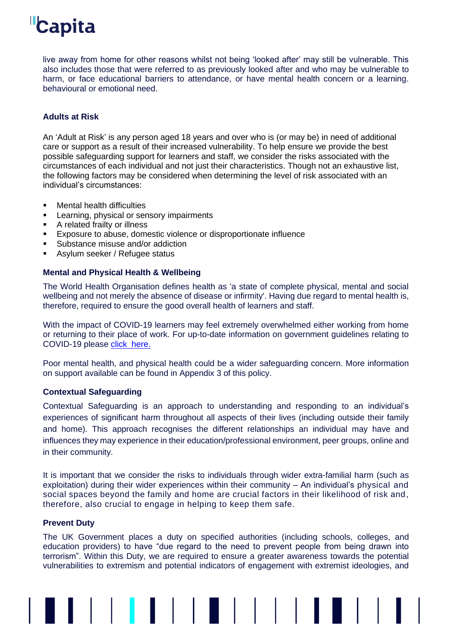live away from home for other reasons whilst not being 'looked after' may still be vulnerable. This also includes those that were referred to as previously looked after and who may be vulnerable to harm, or face educational barriers to attendance, or have mental health concern or a learning. behavioural or emotional need.

## <span id="page-7-0"></span>**Adults at Risk**

An 'Adult at Risk' is any person aged 18 years and over who is (or may be) in need of additional care or support as a result of their increased vulnerability. To help ensure we provide the best possible safeguarding support for learners and staff, we consider the risks associated with the circumstances of each individual and not just their characteristics. Though not an exhaustive list, the following factors may be considered when determining the level of risk associated with an individual's circumstances:

- **Mental health difficulties**
- **EXECT:** Learning, physical or sensory impairments
- A related frailty or illness
- Exposure to abuse, domestic violence or disproportionate influence
- Substance misuse and/or addiction
- <span id="page-7-1"></span>■ Asylum seeker / Refugee status

### **Mental and Physical Health & Wellbeing**

The World Health Organisation defines health as 'a state of complete physical, mental and social wellbeing and not merely the absence of disease or infirmity'. Having due regard to mental health is, therefore, required to ensure the good overall health of learners and staff.

With the impact of COVID-19 learners may feel extremely overwhelmed either working from home or returning to their place of work. For up-to-date information on government guidelines relating to COVID-19 please [click here.](https://www.gov.uk/coronavirus?gclid=EAIaIQobChMI_7WQq4rf8gIVF_hRCh39mgBeEAAYASAAEgK6R_D_BwE)

Poor mental health, and physical health could be a wider safeguarding concern. More information on support available can be found in Appendix 3 of this policy.

#### <span id="page-7-2"></span>**Contextual Safeguarding**

Contextual Safeguarding is an approach to understanding and responding to an individual's experiences of significant harm throughout all aspects of their lives (including outside their family and home). This approach recognises the different relationships an individual may have and influences they may experience in their education/professional environment, peer groups, online and in their community.

It is important that we consider the risks to individuals through wider extra-familial harm (such as exploitation) during their wider experiences within their community – An individual's physical and social spaces beyond the family and home are crucial factors in their likelihood of risk and, therefore, also crucial to engage in helping to keep them safe.

## <span id="page-7-3"></span>**Prevent Duty**

The UK Government places a duty on specified authorities (including schools, colleges, and education providers) to have "due regard to the need to prevent people from being drawn into terrorism". Within this Duty, we are required to ensure a greater awareness towards the potential vulnerabilities to extremism and potential indicators of engagement with extremist ideologies, and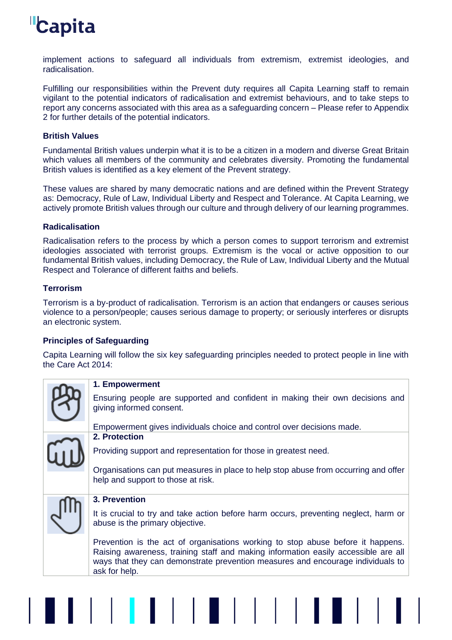implement actions to safeguard all individuals from extremism, extremist ideologies, and radicalisation.

Fulfilling our responsibilities within the Prevent duty requires all Capita Learning staff to remain vigilant to the potential indicators of radicalisation and extremist behaviours, and to take steps to report any concerns associated with this area as a safeguarding concern – Please refer to Appendix 2 for further details of the potential indicators.

## <span id="page-8-0"></span>**British Values**

Fundamental British values underpin what it is to be a citizen in a modern and diverse Great Britain which values all members of the community and celebrates diversity. Promoting the fundamental British values is identified as a key element of the Prevent strategy.

These values are shared by many democratic nations and are defined within the Prevent Strategy as: Democracy, Rule of Law, Individual Liberty and Respect and Tolerance. At Capita Learning, we actively promote British values through our culture and through delivery of our learning programmes.

## <span id="page-8-1"></span>**Radicalisation**

Radicalisation refers to the process by which a person comes to support terrorism and extremist ideologies associated with terrorist groups. Extremism is the vocal or active opposition to our fundamental British values, including Democracy, the Rule of Law, Individual Liberty and the Mutual Respect and Tolerance of different faiths and beliefs.

## <span id="page-8-2"></span>**Terrorism**

Terrorism is a by-product of radicalisation. Terrorism is an action that endangers or causes serious violence to a person/people; causes serious damage to property; or seriously interferes or disrupts an electronic system.

## <span id="page-8-3"></span>**Principles of Safeguarding**

Capita Learning will follow the six key safeguarding principles needed to protect people in line with the Care Act 2014:

| 1. Empowerment                                                                                                          |  |
|-------------------------------------------------------------------------------------------------------------------------|--|
| Ensuring people are supported and confident in making their own decisions and<br>giving informed consent.               |  |
| Empowerment gives individuals choice and control over decisions made.                                                   |  |
| 2. Protection                                                                                                           |  |
| Providing support and representation for those in greatest need.                                                        |  |
| Organisations can put measures in place to help stop abuse from occurring and offer                                     |  |
| help and support to those at risk.                                                                                      |  |
| 3. Prevention                                                                                                           |  |
| It is crucial to try and take action before harm occurs, preventing neglect, harm or<br>abuse is the primary objective. |  |
| Prevention is the act of organisations working to stop abuse before it happens.                                         |  |
| Raising awareness, training staff and making information easily accessible are all                                      |  |
| ways that they can demonstrate prevention measures and encourage individuals to<br>ask for help.                        |  |
|                                                                                                                         |  |
|                                                                                                                         |  |
|                                                                                                                         |  |
|                                                                                                                         |  |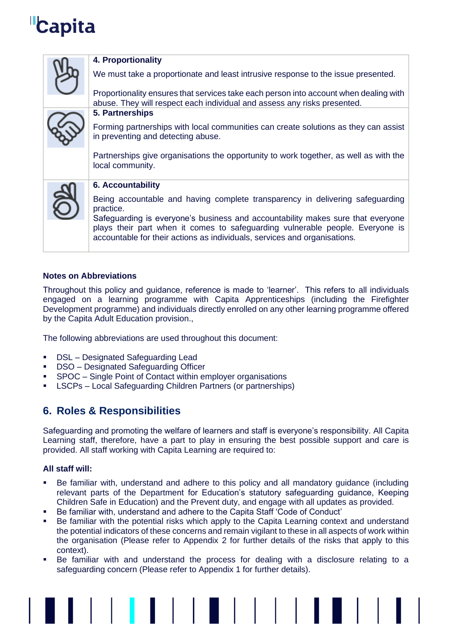| 4. Proportionality                                                                                                                                                                                                                                                                                                                          |
|---------------------------------------------------------------------------------------------------------------------------------------------------------------------------------------------------------------------------------------------------------------------------------------------------------------------------------------------|
| We must take a proportionate and least intrusive response to the issue presented.                                                                                                                                                                                                                                                           |
| Proportionality ensures that services take each person into account when dealing with<br>abuse. They will respect each individual and assess any risks presented.                                                                                                                                                                           |
| 5. Partnerships                                                                                                                                                                                                                                                                                                                             |
| Forming partnerships with local communities can create solutions as they can assist<br>in preventing and detecting abuse.                                                                                                                                                                                                                   |
| Partnerships give organisations the opportunity to work together, as well as with the<br>local community.                                                                                                                                                                                                                                   |
| <b>6. Accountability</b>                                                                                                                                                                                                                                                                                                                    |
| Being accountable and having complete transparency in delivering safeguarding<br>practice.<br>Safeguarding is everyone's business and accountability makes sure that everyone<br>plays their part when it comes to safeguarding vulnerable people. Everyone is<br>accountable for their actions as individuals, services and organisations. |

## <span id="page-9-0"></span>**Notes on Abbreviations**

Throughout this policy and guidance, reference is made to 'learner'. This refers to all individuals engaged on a learning programme with Capita Apprenticeships (including the Firefighter Development programme) and individuals directly enrolled on any other learning programme offered by the Capita Adult Education provision.,

The following abbreviations are used throughout this document:

- DSL Designated Safeguarding Lead
- DSO Designated Safeguarding Officer
- SPOC Single Point of Contact within employer organisations
- <span id="page-9-1"></span>▪ LSCPs – Local Safeguarding Children Partners (or partnerships)

## **6. Roles & Responsibilities**

Safeguarding and promoting the welfare of learners and staff is everyone's responsibility. All Capita Learning staff, therefore, have a part to play in ensuring the best possible support and care is provided. All staff working with Capita Learning are required to:

## <span id="page-9-2"></span>**All staff will:**

- Be familiar with, understand and adhere to this policy and all mandatory guidance (including relevant parts of the Department for Education's statutory safeguarding guidance, Keeping Children Safe in Education) and the Prevent duty, and engage with all updates as provided.
- Be familiar with, understand and adhere to the Capita Staff 'Code of Conduct'
- Be familiar with the potential risks which apply to the Capita Learning context and understand the potential indicators of these concerns and remain vigilant to these in all aspects of work within the organisation (Please refer to Appendix 2 for further details of the risks that apply to this context).
- Be familiar with and understand the process for dealing with a disclosure relating to a safeguarding concern (Please refer to Appendix 1 for further details).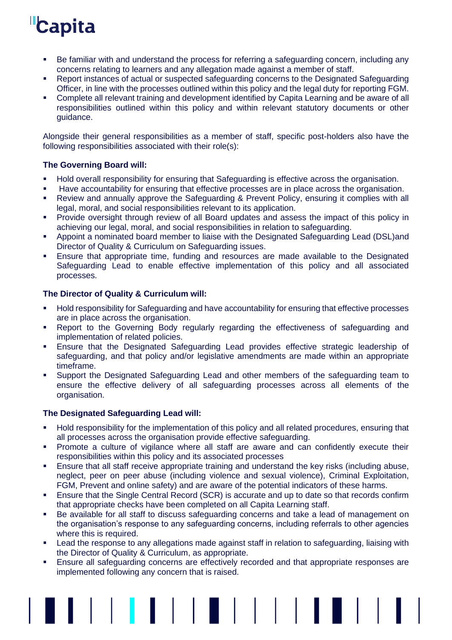- Be familiar with and understand the process for referring a safeguarding concern, including any concerns relating to learners and any allegation made against a member of staff.
- Report instances of actual or suspected safeguarding concerns to the Designated Safeguarding Officer, in line with the processes outlined within this policy and the legal duty for reporting FGM.
- Complete all relevant training and development identified by Capita Learning and be aware of all responsibilities outlined within this policy and within relevant statutory documents or other guidance.

Alongside their general responsibilities as a member of staff, specific post-holders also have the following responsibilities associated with their role(s):

## <span id="page-10-0"></span>**The Governing Board will:**

- Hold overall responsibility for ensuring that Safeguarding is effective across the organisation.
- Have accountability for ensuring that effective processes are in place across the organisation.
- Review and annually approve the Safeguarding & Prevent Policy, ensuring it complies with all legal, moral, and social responsibilities relevant to its application.
- **•** Provide oversight through review of all Board updates and assess the impact of this policy in achieving our legal, moral, and social responsibilities in relation to safeguarding.
- Appoint a nominated board member to liaise with the Designated Safeguarding Lead (DSL)and Director of Quality & Curriculum on Safeguarding issues.
- **Ensure that appropriate time, funding and resources are made available to the Designated** Safeguarding Lead to enable effective implementation of this policy and all associated processes.

## <span id="page-10-1"></span>**The Director of Quality & Curriculum will:**

- Hold responsibility for Safeguarding and have accountability for ensuring that effective processes are in place across the organisation.
- **EXECT A** Report to the Governing Body regularly regarding the effectiveness of safeguarding and implementation of related policies.
- Ensure that the Designated Safeguarding Lead provides effective strategic leadership of safeguarding, and that policy and/or legislative amendments are made within an appropriate timeframe.
- Support the Designated Safeguarding Lead and other members of the safeguarding team to ensure the effective delivery of all safeguarding processes across all elements of the organisation.

## <span id="page-10-2"></span>**The Designated Safeguarding Lead will:**

- Hold responsibility for the implementation of this policy and all related procedures, ensuring that all processes across the organisation provide effective safeguarding.
- Promote a culture of vigilance where all staff are aware and can confidently execute their responsibilities within this policy and its associated processes
- **Ensure that all staff receive appropriate training and understand the key risks (including abuse,** neglect, peer on peer abuse (including violence and sexual violence), Criminal Exploitation, FGM, Prevent and online safety) and are aware of the potential indicators of these harms.
- Ensure that the Single Central Record (SCR) is accurate and up to date so that records confirm that appropriate checks have been completed on all Capita Learning staff.
- Be available for all staff to discuss safeguarding concerns and take a lead of management on the organisation's response to any safeguarding concerns, including referrals to other agencies where this is required.
- Lead the response to any allegations made against staff in relation to safeguarding, liaising with the Director of Quality & Curriculum, as appropriate.
- **Ensure all safequarding concerns are effectively recorded and that appropriate responses are** implemented following any concern that is raised.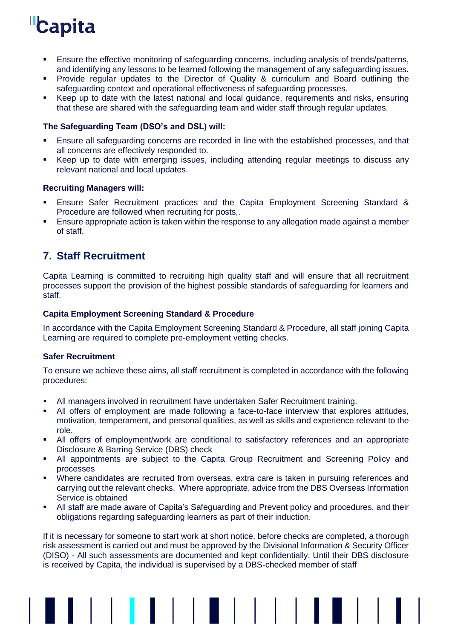- **E**nsure the effective monitoring of safeguarding concerns, including analysis of trends/patterns, and identifying any lessons to be learned following the management of any safeguarding issues.
- Provide regular updates to the Director of Quality & curriculum and Board outlining the safeguarding context and operational effectiveness of safeguarding processes.
- Keep up to date with the latest national and local guidance, requirements and risks, ensuring that these are shared with the safeguarding team and wider staff through regular updates.

## <span id="page-11-0"></span>**The Safeguarding Team (DSO's and DSL) will:**

- Ensure all safeguarding concerns are recorded in line with the established processes, and that all concerns are effectively responded to.
- Keep up to date with emerging issues, including attending regular meetings to discuss any relevant national and local updates.

### <span id="page-11-1"></span>**Recruiting Managers will:**

- Ensure Safer Recruitment practices and the Capita Employment Screening Standard & Procedure are followed when recruiting for posts,.
- **Ensure appropriate action is taken within the response to any allegation made against a member** of staff.

# <span id="page-11-2"></span>**7. Staff Recruitment**

Capita Learning is committed to recruiting high quality staff and will ensure that all recruitment processes support the provision of the highest possible standards of safeguarding for learners and staff.

### <span id="page-11-3"></span>**Capita Employment Screening Standard & Procedure**

In accordance with the Capita Employment Screening Standard & Procedure, all staff joining Capita Learning are required to complete pre-employment vetting checks.

## <span id="page-11-4"></span>**Safer Recruitment**

To ensure we achieve these aims, all staff recruitment is completed in accordance with the following procedures:

- All managers involved in recruitment have undertaken Safer Recruitment training.
- All offers of employment are made following a face-to-face interview that explores attitudes, motivation, temperament, and personal qualities, as well as skills and experience relevant to the role.
- **EXECT** All offers of employment/work are conditional to satisfactory references and an appropriate Disclosure & Barring Service (DBS) check
- **.** All appointments are subject to the Capita Group Recruitment and Screening Policy and processes
- Where candidates are recruited from overseas, extra care is taken in pursuing references and carrying out the relevant checks. Where appropriate, advice from the DBS Overseas Information Service is obtained
- All staff are made aware of Capita's Safeguarding and Prevent policy and procedures, and their obligations regarding safeguarding learners as part of their induction.

If it is necessary for someone to start work at short notice, before checks are completed, a thorough risk assessment is carried out and must be approved by the Divisional Information & Security Officer (DISO) - All such assessments are documented and kept confidentially. Until their DBS disclosure is received by Capita, the individual is supervised by a DBS-checked member of staff

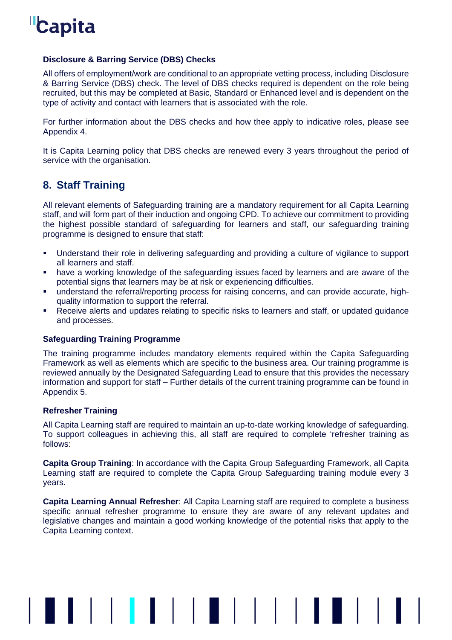

### <span id="page-12-0"></span>**Disclosure & Barring Service (DBS) Checks**

All offers of employment/work are conditional to an appropriate vetting process, including Disclosure & Barring Service (DBS) check. The level of DBS checks required is dependent on the role being recruited, but this may be completed at Basic, Standard or Enhanced level and is dependent on the type of activity and contact with learners that is associated with the role.

For further information about the DBS checks and how thee apply to indicative roles, please see Appendix 4.

It is Capita Learning policy that DBS checks are renewed every 3 years throughout the period of service with the organisation.

# <span id="page-12-1"></span>**8. Staff Training**

All relevant elements of Safeguarding training are a mandatory requirement for all Capita Learning staff, and will form part of their induction and ongoing CPD. To achieve our commitment to providing the highest possible standard of safeguarding for learners and staff, our safeguarding training programme is designed to ensure that staff:

- Understand their role in delivering safeguarding and providing a culture of vigilance to support all learners and staff.
- have a working knowledge of the safeguarding issues faced by learners and are aware of the potential signs that learners may be at risk or experiencing difficulties.
- understand the referral/reporting process for raising concerns, and can provide accurate, highquality information to support the referral.
- Receive alerts and updates relating to specific risks to learners and staff, or updated guidance and processes.

#### <span id="page-12-2"></span>**Safeguarding Training Programme**

The training programme includes mandatory elements required within the Capita Safeguarding Framework as well as elements which are specific to the business area. Our training programme is reviewed annually by the Designated Safeguarding Lead to ensure that this provides the necessary information and support for staff – Further details of the current training programme can be found in Appendix 5.

#### <span id="page-12-3"></span>**Refresher Training**

All Capita Learning staff are required to maintain an up-to-date working knowledge of safeguarding. To support colleagues in achieving this, all staff are required to complete 'refresher training as follows:

**Capita Group Training**: In accordance with the Capita Group Safeguarding Framework, all Capita Learning staff are required to complete the Capita Group Safeguarding training module every 3 years.

**Capita Learning Annual Refresher**: All Capita Learning staff are required to complete a business specific annual refresher programme to ensure they are aware of any relevant updates and legislative changes and maintain a good working knowledge of the potential risks that apply to the Capita Learning context.

▌▌▏▏▏**▏▌**▐▕▏▏▏▊▏▏▏▏▏▏▏▌▐▏▊▏▏▏▏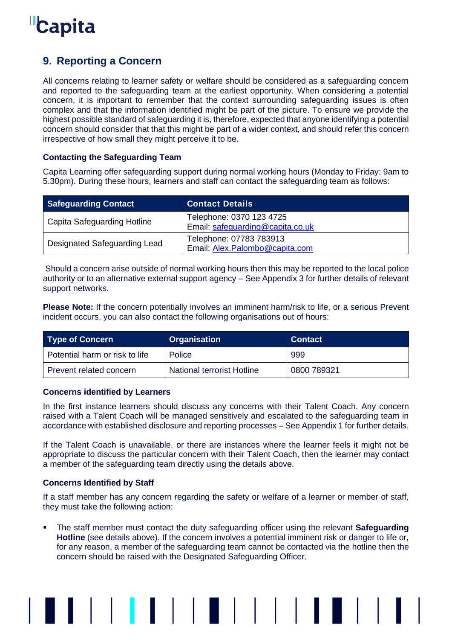

# <span id="page-13-0"></span>**9. Reporting a Concern**

All concerns relating to learner safety or welfare should be considered as a safeguarding concern and reported to the safeguarding team at the earliest opportunity. When considering a potential concern, it is important to remember that the context surrounding safeguarding issues is often complex and that the information identified might be part of the picture. To ensure we provide the highest possible standard of safeguarding it is, therefore, expected that anyone identifying a potential concern should consider that that this might be part of a wider context, and should refer this concern irrespective of how small they might perceive it to be.

## <span id="page-13-1"></span>**Contacting the Safeguarding Team**

Capita Learning offer safeguarding support during normal working hours (Monday to Friday: 9am to 5.30pm). During these hours, learners and staff can contact the safeguarding team as follows:

| <b>Safeguarding Contact</b>  | <b>Contact Details</b>                                       |
|------------------------------|--------------------------------------------------------------|
| Capita Safeguarding Hotline  | Telephone: 0370 123 4725<br>Email: safeguarding@capita.co.uk |
| Designated Safeguarding Lead | Telephone: 07783 783913<br>Email: Alex.Palombo@capita.com    |

Should a concern arise outside of normal working hours then this may be reported to the local police authority or to an alternative external support agency – See Appendix 3 for further details of relevant support networks.

**Please Note:** If the concern potentially involves an imminent harm/risk to life, or a serious Prevent incident occurs, you can also contact the following organisations out of hours:

| Type of Concern                | <b>Organisation</b>        | <b>Contact</b> |
|--------------------------------|----------------------------|----------------|
| Potential harm or risk to life | Police                     | 999            |
| Prevent related concern        | National terrorist Hotline | 0800 789321    |

## <span id="page-13-2"></span>**Concerns identified by Learners**

In the first instance learners should discuss any concerns with their Talent Coach. Any concern raised with a Talent Coach will be managed sensitively and escalated to the safeguarding team in accordance with established disclosure and reporting processes – See Appendix 1 for further details.

If the Talent Coach is unavailable, or there are instances where the learner feels it might not be appropriate to discuss the particular concern with their Talent Coach, then the learner may contact a member of the safeguarding team directly using the details above.

## <span id="page-13-3"></span>**Concerns Identified by Staff**

If a staff member has any concern regarding the safety or welfare of a learner or member of staff, they must take the following action:

The staff member must contact the duty safeguarding officer using the relevant **Safeguarding Hotline** (see details above). If the concern involves a potential imminent risk or danger to life or, for any reason, a member of the safeguarding team cannot be contacted via the hotline then the concern should be raised with the Designated Safeguarding Officer.

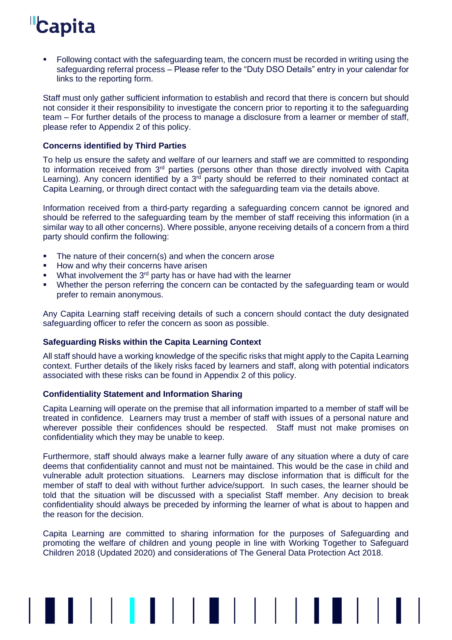▪ Following contact with the safeguarding team, the concern must be recorded in writing using the safeguarding referral process – Please refer to the "Duty DSO Details" entry in your calendar for links to the reporting form.

Staff must only gather sufficient information to establish and record that there is concern but should not consider it their responsibility to investigate the concern prior to reporting it to the safeguarding team – For further details of the process to manage a disclosure from a learner or member of staff, please refer to Appendix 2 of this policy.

### <span id="page-14-0"></span>**Concerns identified by Third Parties**

To help us ensure the safety and welfare of our learners and staff we are committed to responding to information received from 3<sup>rd</sup> parties (persons other than those directly involved with Capita Learning). Any concern identified by a  $3<sup>rd</sup>$  party should be referred to their nominated contact at Capita Learning, or through direct contact with the safeguarding team via the details above.

Information received from a third-party regarding a safeguarding concern cannot be ignored and should be referred to the safeguarding team by the member of staff receiving this information (in a similar way to all other concerns). Where possible, anyone receiving details of a concern from a third party should confirm the following:

- The nature of their concern(s) and when the concern arose
- How and why their concerns have arisen
- $\blacksquare$  What involvement the 3<sup>rd</sup> party has or have had with the learner
- Whether the person referring the concern can be contacted by the safeguarding team or would prefer to remain anonymous.

Any Capita Learning staff receiving details of such a concern should contact the duty designated safeguarding officer to refer the concern as soon as possible.

#### <span id="page-14-1"></span>**Safeguarding Risks within the Capita Learning Context**

All staff should have a working knowledge of the specific risks that might apply to the Capita Learning context. Further details of the likely risks faced by learners and staff, along with potential indicators associated with these risks can be found in Appendix 2 of this policy.

#### <span id="page-14-2"></span>**Confidentiality Statement and Information Sharing**

Capita Learning will operate on the premise that all information imparted to a member of staff will be treated in confidence. Learners may trust a member of staff with issues of a personal nature and wherever possible their confidences should be respected. Staff must not make promises on confidentiality which they may be unable to keep.

Furthermore, staff should always make a learner fully aware of any situation where a duty of care deems that confidentiality cannot and must not be maintained. This would be the case in child and vulnerable adult protection situations. Learners may disclose information that is difficult for the member of staff to deal with without further advice/support. In such cases, the learner should be told that the situation will be discussed with a specialist Staff member. Any decision to break confidentiality should always be preceded by informing the learner of what is about to happen and the reason for the decision.

Capita Learning are committed to sharing information for the purposes of Safeguarding and promoting the welfare of children and young people in line with Working Together to Safeguard Children 2018 (Updated 2020) and considerations of The General Data Protection Act 2018.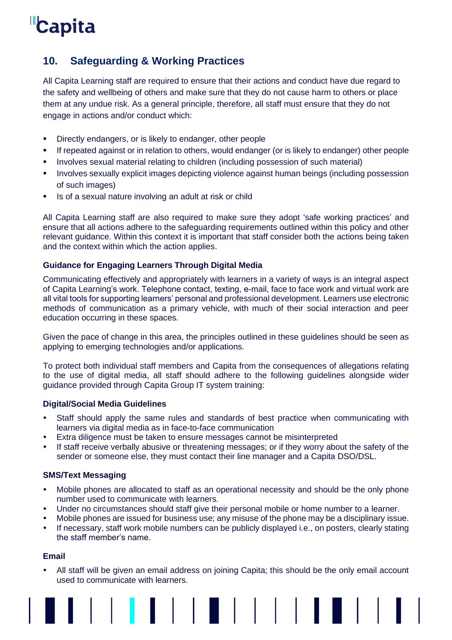# <span id="page-15-0"></span>**10. Safeguarding & Working Practices**

All Capita Learning staff are required to ensure that their actions and conduct have due regard to the safety and wellbeing of others and make sure that they do not cause harm to others or place them at any undue risk. As a general principle, therefore, all staff must ensure that they do not engage in actions and/or conduct which:

- Directly endangers, or is likely to endanger, other people
- If repeated against or in relation to others, would endanger (or is likely to endanger) other people
- **■** Involves sexual material relating to children (including possession of such material)
- **•** Involves sexually explicit images depicting violence against human beings (including possession of such images)
- Is of a sexual nature involving an adult at risk or child

All Capita Learning staff are also required to make sure they adopt 'safe working practices' and ensure that all actions adhere to the safeguarding requirements outlined within this policy and other relevant guidance. Within this context it is important that staff consider both the actions being taken and the context within which the action applies.

## <span id="page-15-1"></span>**Guidance for Engaging Learners Through Digital Media**

Communicating effectively and appropriately with learners in a variety of ways is an integral aspect of Capita Learning's work. Telephone contact, texting, e-mail, face to face work and virtual work are all vital tools for supporting learners' personal and professional development. Learners use electronic methods of communication as a primary vehicle, with much of their social interaction and peer education occurring in these spaces.

Given the pace of change in this area, the principles outlined in these guidelines should be seen as applying to emerging technologies and/or applications.

To protect both individual staff members and Capita from the consequences of allegations relating to the use of digital media, all staff should adhere to the following guidelines alongside wider guidance provided through Capita Group IT system training:

## <span id="page-15-2"></span>**Digital/Social Media Guidelines**

- Staff should apply the same rules and standards of best practice when communicating with learners via digital media as in face-to-face communication
- Extra diligence must be taken to ensure messages cannot be misinterpreted
- If staff receive verbally abusive or threatening messages; or if they worry about the safety of the sender or someone else, they must contact their line manager and a Capita DSO/DSL.

## <span id="page-15-3"></span>**SMS/Text Messaging**

- Mobile phones are allocated to staff as an operational necessity and should be the only phone number used to communicate with learners.
- Under no circumstances should staff give their personal mobile or home number to a learner.
- Mobile phones are issued for business use; any misuse of the phone may be a disciplinary issue.
- If necessary, staff work mobile numbers can be publicly displayed i.e., on posters, clearly stating the staff member's name.

## <span id="page-15-4"></span>**Email**

 All staff will be given an email address on joining Capita; this should be the only email account used to communicate with learners.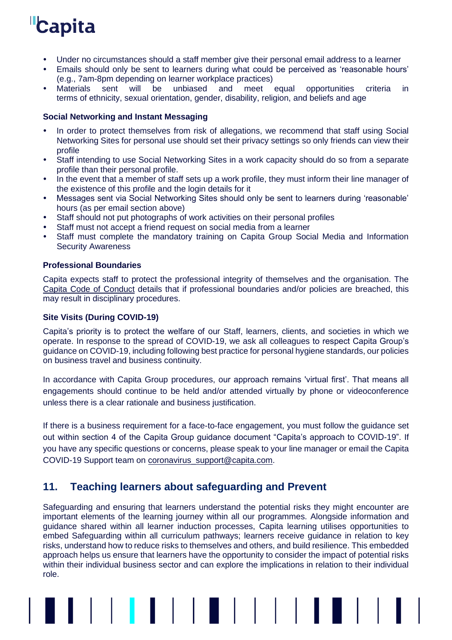- Under no circumstances should a staff member give their personal email address to a learner
- Emails should only be sent to learners during what could be perceived as 'reasonable hours' (e.g., 7am-8pm depending on learner workplace practices)
- sent will be unbiased and meet equal opportunities criteria in terms of ethnicity, sexual orientation, gender, disability, religion, and beliefs and age

## <span id="page-16-0"></span>**Social Networking and Instant Messaging**

- In order to protect themselves from risk of allegations, we recommend that staff using Social Networking Sites for personal use should set their privacy settings so only friends can view their profile
- Staff intending to use Social Networking Sites in a work capacity should do so from a separate profile than their personal profile.
- In the event that a member of staff sets up a work profile, they must inform their line manager of the existence of this profile and the login details for it
- Messages sent via Social Networking Sites should only be sent to learners during 'reasonable' hours (as per email section above)
- Staff should not put photographs of work activities on their personal profiles
- Staff must not accept a friend request on social media from a learner
- Staff must complete the mandatory training on Capita Group Social Media and Information Security Awareness

## <span id="page-16-1"></span>**Professional Boundaries**

Capita expects staff to protect the professional integrity of themselves and the organisation. The [Capita Code of Conduct](http://documents.capitaconnections.capita.zone/Published%20Documents/Code%20of%20Conduct.pdf) details that if professional boundaries and/or policies are breached, this may result in disciplinary procedures.

## <span id="page-16-2"></span>**Site Visits (During COVID-19)**

Capita's priority is to protect the welfare of our Staff, learners, clients, and societies in which we operate. In response to the spread of COVID-19, we ask all colleagues to respect Capita Group's guidance on COVID-19, including following best practice for personal hygiene standards, our policies on business travel and business continuity.

In accordance with Capita Group procedures, our approach remains 'virtual first'. That means all engagements should continue to be held and/or attended virtually by phone or videoconference unless there is a clear rationale and business justification.

If there is a business requirement for a face-to-face engagement, you must follow the guidance set out within section 4 of the Capita Group guidance document "Capita's approach to COVID-19". If you have any specific questions or concerns, please speak to your line manager or email the Capita COVID-19 Support team on [coronavirus\\_support@capita.com.](mailto:coronavirus_support@capita.com)

# <span id="page-16-3"></span>**11. Teaching learners about safeguarding and Prevent**

Safeguarding and ensuring that learners understand the potential risks they might encounter are important elements of the learning journey within all our programmes. Alongside information and guidance shared within all learner induction processes, Capita learning utilises opportunities to embed Safeguarding within all curriculum pathways; learners receive guidance in relation to key risks, understand how to reduce risks to themselves and others, and build resilience. This embedded approach helps us ensure that learners have the opportunity to consider the impact of potential risks within their individual business sector and can explore the implications in relation to their individual role.

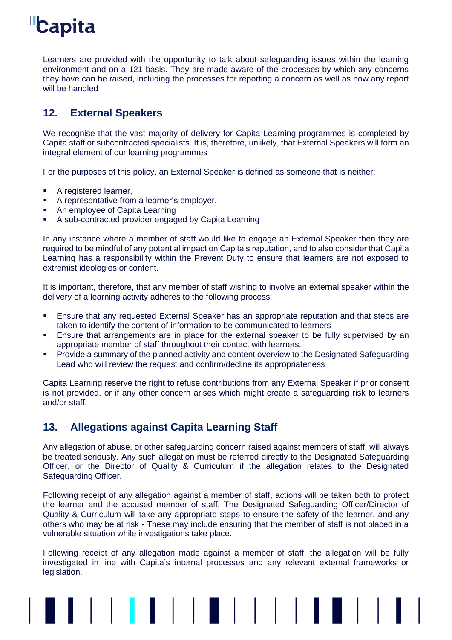

Learners are provided with the opportunity to talk about safeguarding issues within the learning environment and on a 121 basis. They are made aware of the processes by which any concerns they have can be raised, including the processes for reporting a concern as well as how any report will be handled

# <span id="page-17-0"></span>**12. External Speakers**

We recognise that the vast majority of delivery for Capita Learning programmes is completed by Capita staff or subcontracted specialists. It is, therefore, unlikely, that External Speakers will form an integral element of our learning programmes

For the purposes of this policy, an External Speaker is defined as someone that is neither:

- A registered learner,
- A representative from a learner's employer,
- An employee of Capita Learning
- A sub-contracted provider engaged by Capita Learning

In any instance where a member of staff would like to engage an External Speaker then they are required to be mindful of any potential impact on Capita's reputation, and to also consider that Capita Learning has a responsibility within the Prevent Duty to ensure that learners are not exposed to extremist ideologies or content.

It is important, therefore, that any member of staff wishing to involve an external speaker within the delivery of a learning activity adheres to the following process:

- **•** Ensure that any requested External Speaker has an appropriate reputation and that steps are taken to identify the content of information to be communicated to learners
- **E** Ensure that arrangements are in place for the external speaker to be fully supervised by an appropriate member of staff throughout their contact with learners.
- Provide a summary of the planned activity and content overview to the Designated Safeguarding Lead who will review the request and confirm/decline its appropriateness

Capita Learning reserve the right to refuse contributions from any External Speaker if prior consent is not provided, or if any other concern arises which might create a safeguarding risk to learners and/or staff.

# <span id="page-17-1"></span>**13. Allegations against Capita Learning Staff**

Any allegation of abuse, or other safeguarding concern raised against members of staff, will always be treated seriously. Any such allegation must be referred directly to the Designated Safeguarding Officer, or the Director of Quality & Curriculum if the allegation relates to the Designated Safeguarding Officer.

Following receipt of any allegation against a member of staff, actions will be taken both to protect the learner and the accused member of staff. The Designated Safeguarding Officer/Director of Quality & Curriculum will take any appropriate steps to ensure the safety of the learner, and any others who may be at risk - These may include ensuring that the member of staff is not placed in a vulnerable situation while investigations take place.

Following receipt of any allegation made against a member of staff, the allegation will be fully investigated in line with Capita's internal processes and any relevant external frameworks or legislation.

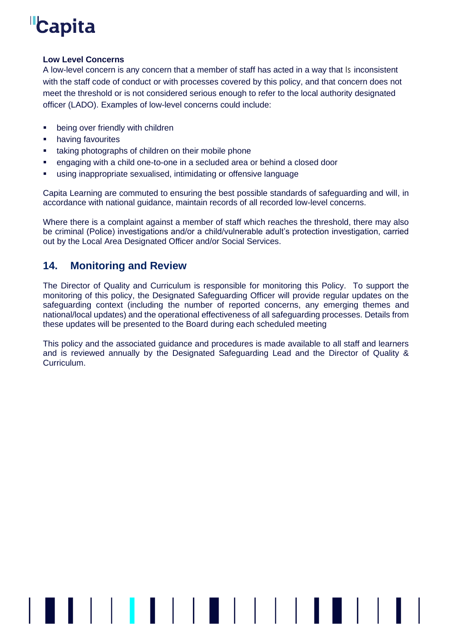## **Low Level Concerns**

A low-level concern is any concern that a member of staff has acted in a way that Is inconsistent with the staff code of conduct or with processes covered by this policy, and that concern does not meet the threshold or is not considered serious enough to refer to the local authority designated officer (LADO). Examples of low-level concerns could include:

- being over friendly with children
- having favourites
- taking photographs of children on their mobile phone
- engaging with a child one-to-one in a secluded area or behind a closed door
- using inappropriate sexualised, intimidating or offensive language

Capita Learning are commuted to ensuring the best possible standards of safeguarding and will, in accordance with national guidance, maintain records of all recorded low-level concerns.

Where there is a complaint against a member of staff which reaches the threshold, there may also be criminal (Police) investigations and/or a child/vulnerable adult's protection investigation, carried out by the Local Area Designated Officer and/or Social Services.

# <span id="page-18-0"></span>**14. Monitoring and Review**

The Director of Quality and Curriculum is responsible for monitoring this Policy. To support the monitoring of this policy, the Designated Safeguarding Officer will provide regular updates on the safeguarding context (including the number of reported concerns, any emerging themes and national/local updates) and the operational effectiveness of all safeguarding processes. Details from these updates will be presented to the Board during each scheduled meeting

This policy and the associated guidance and procedures is made available to all staff and learners and is reviewed annually by the Designated Safeguarding Lead and the Director of Quality & Curriculum.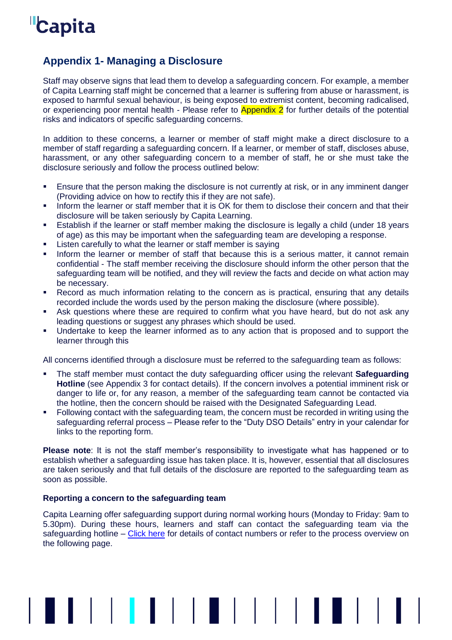# <span id="page-19-0"></span>**Appendix 1- Managing a Disclosure**

Staff may observe signs that lead them to develop a safeguarding concern. For example, a member of Capita Learning staff might be concerned that a learner is suffering from abuse or harassment, is exposed to harmful sexual behaviour, is being exposed to extremist content, becoming radicalised, or experiencing poor mental health - Please refer to **Appendix 2** for further details of the potential risks and indicators of specific safeguarding concerns.

In addition to these concerns, a learner or member of staff might make a direct disclosure to a member of staff regarding a safeguarding concern. If a learner, or member of staff, discloses abuse, harassment, or any other safeguarding concern to a member of staff, he or she must take the disclosure seriously and follow the process outlined below:

- **Ensure that the person making the disclosure is not currently at risk, or in any imminent danger** (Providing advice on how to rectify this if they are not safe).
- **.** Inform the learner or staff member that it is OK for them to disclose their concern and that their disclosure will be taken seriously by Capita Learning.
- **Establish if the learner or staff member making the disclosure is legally a child (under 18 years** of age) as this may be important when the safeguarding team are developing a response.
- **EXECT:** Listen carefully to what the learner or staff member is saying
- **.** Inform the learner or member of staff that because this is a serious matter, it cannot remain confidential - The staff member receiving the disclosure should inform the other person that the safeguarding team will be notified, and they will review the facts and decide on what action may be necessary.
- Record as much information relating to the concern as is practical, ensuring that any details recorded include the words used by the person making the disclosure (where possible).
- **EXECT** Ask questions where these are required to confirm what you have heard, but do not ask any leading questions or suggest any phrases which should be used.
- Undertake to keep the learner informed as to any action that is proposed and to support the learner through this

All concerns identified through a disclosure must be referred to the safeguarding team as follows:

- The staff member must contact the duty safeguarding officer using the relevant **Safeguarding Hotline** (see Appendix 3 for contact details). If the concern involves a potential imminent risk or danger to life or, for any reason, a member of the safeguarding team cannot be contacted via the hotline, then the concern should be raised with the Designated Safeguarding Lead.
- Following contact with the safeguarding team, the concern must be recorded in writing using the safeguarding referral process – Please refer to the "Duty DSO Details" entry in your calendar for links to the reporting form.

**Please note**: It is not the staff member's responsibility to investigate what has happened or to establish whether a safeguarding issue has taken place. It is, however, essential that all disclosures are taken seriously and that full details of the disclosure are reported to the safeguarding team as soon as possible.

## <span id="page-19-1"></span>**Reporting a concern to the safeguarding team**

Capita Learning offer safeguarding support during normal working hours (Monday to Friday: 9am to 5.30pm). During these hours, learners and staff can contact the safeguarding team via the safeguarding hotline  $-$  [Click here](#page-13-1) for details of contact numbers or refer to the process overview on the following page.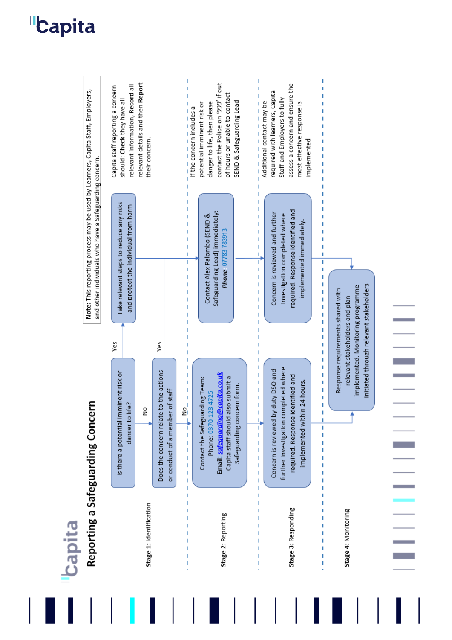Ĭ. T contact the Police on '999' if out assess a concern and ensure the relevant information, Record all relevant details and then Report Î Capita staff reporting a concern Note: This reporting process may be used by Learners, Capita Staff, Employers, required with learners, Capita of hours or unable to contact should: Check they have all Staff and Employers to fully SEND & Safeguarding Lead most effective response is danger to life, then please Additional contact may be potential imminent risk or their concern. implemented and other individuals who have a Safeguarding concern. J. Take relevant steps to reduce any risks and protect the individual from harm T, required. Response identified and Safeguarding Lead) immediately: Contact Alex Palombo (SEND & Concern is reviewed and further investigation completed where Ţ implemented immediately. l, Phone 07783 783913 Ï ï Î Ï Ï. Ï Ï ī アートーーー ī Ï Î. Ï Ï  $\overline{1}$ Ï initiated through relevant stakeholders implemented. Monitoring programme Response requirements shared with Ï relevant stakeholders and plan ï ľ Ï Ï f, Ĩ. Ï Ï Ī ï Ï Ĩ. Ï Ï Ĭ. ť Yes Yes J.  $\frac{1}{1}$ J. further investigation completed where Concern is reviewed by duty DSO and Does the concern relate to the actions Is there a potential imminent risk or Ţ Email: safeguarding@capita.co.uk Ï required. Response identified and Capita staff should also submit a Contact the Safeguarding Team: コココ Tool Art コココココ  $\begin{array}{c} 1 \\ 1 \\ 1 \\ 1 \\ 1 \end{array}$ implemented within 24 hours. Safeguarding concern form. Ĩ. or conduct of a member of staff Phone: 0370 123 4725 Ĭ. Reporting a Safeguarding Concern danger to life?  $\frac{1}{2}$ Ï 中国 しょしししょ I í Ï Stage 1: Identification Stage 3: Responding Ï Ī Stage 4: Monitoring Stage 2: Reporting J. Ï Ï Ï Ï Ï Ï ï

Capita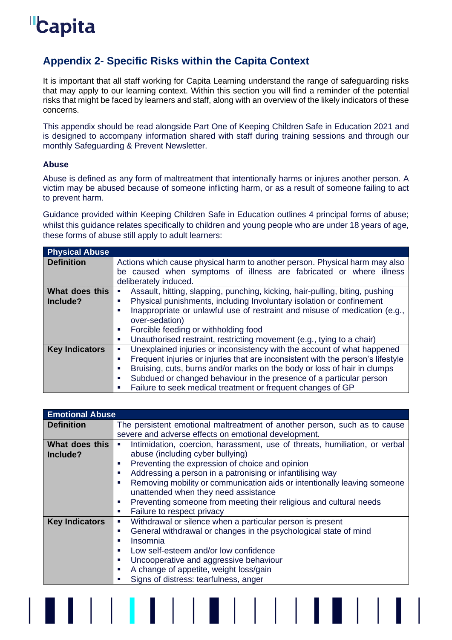# <span id="page-21-0"></span>**Appendix 2- Specific Risks within the Capita Context**

It is important that all staff working for Capita Learning understand the range of safeguarding risks that may apply to our learning context. Within this section you will find a reminder of the potential risks that might be faced by learners and staff, along with an overview of the likely indicators of these concerns.

This appendix should be read alongside Part One of Keeping Children Safe in Education 2021 and is designed to accompany information shared with staff during training sessions and through our monthly Safeguarding & Prevent Newsletter.

## <span id="page-21-1"></span>**Abuse**

Abuse is defined as any form of maltreatment that intentionally harms or injures another person. A victim may be abused because of someone inflicting harm, or as a result of someone failing to act to prevent harm.

Guidance provided within Keeping Children Safe in Education outlines 4 principal forms of abuse; whilst this guidance relates specifically to children and young people who are under 18 years of age, these forms of abuse still apply to adult learners:

| <b>Physical Abuse</b> |                                                                                                                                                                                                                                                                                                                       |  |
|-----------------------|-----------------------------------------------------------------------------------------------------------------------------------------------------------------------------------------------------------------------------------------------------------------------------------------------------------------------|--|
| <b>Definition</b>     | Actions which cause physical harm to another person. Physical harm may also<br>be caused when symptoms of illness are fabricated or where illness<br>deliberately induced.                                                                                                                                            |  |
| What does this        | Assault, hitting, slapping, punching, kicking, hair-pulling, biting, pushing<br>×.                                                                                                                                                                                                                                    |  |
| Include?              | Physical punishments, including Involuntary isolation or confinement<br>п                                                                                                                                                                                                                                             |  |
|                       | Inappropriate or unlawful use of restraint and misuse of medication (e.g.,<br>п<br>over-sedation)<br>Forcible feeding or withholding food<br>ш<br>Unauthorised restraint, restricting movement (e.g., tying to a chair)<br>×                                                                                          |  |
| <b>Key Indicators</b> | Unexplained injuries or inconsistency with the account of what happened<br>×                                                                                                                                                                                                                                          |  |
|                       | Frequent injuries or injuries that are inconsistent with the person's lifestyle<br>ш<br>Bruising, cuts, burns and/or marks on the body or loss of hair in clumps<br>п<br>Subdued or changed behaviour in the presence of a particular person<br>ш<br>Failure to seek medical treatment or frequent changes of GP<br>п |  |

| <b>Emotional Abuse</b> |                                                                                                           |  |
|------------------------|-----------------------------------------------------------------------------------------------------------|--|
| <b>Definition</b>      | The persistent emotional maltreatment of another person, such as to cause                                 |  |
|                        | severe and adverse effects on emotional development.                                                      |  |
| What does this         | Intimidation, coercion, harassment, use of threats, humiliation, or verbal<br>$\mathcal{L}_{\mathcal{A}}$ |  |
| Include?               | abuse (including cyber bullying)                                                                          |  |
|                        | Preventing the expression of choice and opinion<br>×.                                                     |  |
|                        | Addressing a person in a patronising or infantilising way<br>$\mathbf{r}$                                 |  |
|                        | Removing mobility or communication aids or intentionally leaving someone<br>$\blacksquare$                |  |
|                        | unattended when they need assistance                                                                      |  |
|                        | Preventing someone from meeting their religious and cultural needs<br>×.                                  |  |
|                        | Failure to respect privacy<br>×.                                                                          |  |
| <b>Key Indicators</b>  | Withdrawal or silence when a particular person is present<br>ш                                            |  |
|                        | General withdrawal or changes in the psychological state of mind<br>п                                     |  |
|                        | Insomnia<br>п                                                                                             |  |
|                        | Low self-esteem and/or low confidence<br>a.                                                               |  |
|                        | Uncooperative and aggressive behaviour<br>a.                                                              |  |
|                        | A change of appetite, weight loss/gain<br>$\mathbf{r}$                                                    |  |
|                        | Signs of distress: tearfulness, anger<br>п                                                                |  |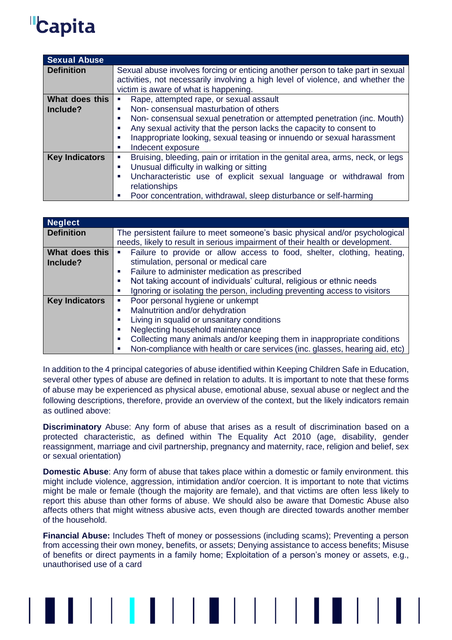| <b>Sexual Abuse</b>   |                                                                                                                                                                                                             |  |
|-----------------------|-------------------------------------------------------------------------------------------------------------------------------------------------------------------------------------------------------------|--|
| <b>Definition</b>     | Sexual abuse involves forcing or enticing another person to take part in sexual<br>activities, not necessarily involving a high level of violence, and whether the<br>victim is aware of what is happening. |  |
| What does this        | Rape, attempted rape, or sexual assault<br>×                                                                                                                                                                |  |
| Include?              | Non-consensual masturbation of others<br>п                                                                                                                                                                  |  |
|                       | Non-consensual sexual penetration or attempted penetration (inc. Mouth)<br>a.                                                                                                                               |  |
|                       | Any sexual activity that the person lacks the capacity to consent to<br>п                                                                                                                                   |  |
|                       | Inappropriate looking, sexual teasing or innuendo or sexual harassment<br>п                                                                                                                                 |  |
|                       | Indecent exposure<br>a.                                                                                                                                                                                     |  |
| <b>Key Indicators</b> | Bruising, bleeding, pain or irritation in the genital area, arms, neck, or legs<br>×.                                                                                                                       |  |
|                       | Unusual difficulty in walking or sitting<br>$\overline{\phantom{a}}$                                                                                                                                        |  |
|                       | Uncharacteristic use of explicit sexual language or withdrawal from<br>$\mathbf{r}$                                                                                                                         |  |
|                       | relationships                                                                                                                                                                                               |  |
|                       | Poor concentration, withdrawal, sleep disturbance or self-harming<br>п                                                                                                                                      |  |

| <b>Neglect</b>        |                                                                                         |
|-----------------------|-----------------------------------------------------------------------------------------|
| <b>Definition</b>     | The persistent failure to meet someone's basic physical and/or psychological            |
|                       | needs, likely to result in serious impairment of their health or development.           |
| What does this        | • Failure to provide or allow access to food, shelter, clothing, heating,               |
| Include?              | stimulation, personal or medical care                                                   |
|                       | Failure to administer medication as prescribed<br>×                                     |
|                       | Not taking account of individuals' cultural, religious or ethnic needs<br>$\mathbf{r}$  |
|                       | Ignoring or isolating the person, including preventing access to visitors<br>a.         |
| <b>Key Indicators</b> | Poor personal hygiene or unkempt<br>×.                                                  |
|                       | Malnutrition and/or dehydration<br>$\blacksquare$                                       |
|                       | Living in squalid or unsanitary conditions<br>$\mathbf{r}$                              |
|                       | Neglecting household maintenance<br>ш                                                   |
|                       | Collecting many animals and/or keeping them in inappropriate conditions<br>$\mathbf{r}$ |
|                       | Non-compliance with health or care services (inc. glasses, hearing aid, etc)            |

In addition to the 4 principal categories of abuse identified within Keeping Children Safe in Education, several other types of abuse are defined in relation to adults. It is important to note that these forms of abuse may be experienced as physical abuse, emotional abuse, sexual abuse or neglect and the following descriptions, therefore, provide an overview of the context, but the likely indicators remain as outlined above:

**Discriminatory** Abuse: Any form of abuse that arises as a result of discrimination based on a protected characteristic, as defined within The Equality Act 2010 (age, disability, gender reassignment, marriage and civil partnership, pregnancy and maternity, race, religion and belief, sex or sexual orientation)

**Domestic Abuse**: Any form of abuse that takes place within a domestic or family environment. this might include violence, aggression, intimidation and/or coercion. It is important to note that victims might be male or female (though the majority are female), and that victims are often less likely to report this abuse than other forms of abuse. We should also be aware that Domestic Abuse also affects others that might witness abusive acts, even though are directed towards another member of the household.

**Financial Abuse:** Includes Theft of money or possessions (including scams); Preventing a person from accessing their own money, benefits, or assets; Denying assistance to access benefits; Misuse of benefits or direct payments in a family home; Exploitation of a person's money or assets, e.g., unauthorised use of a card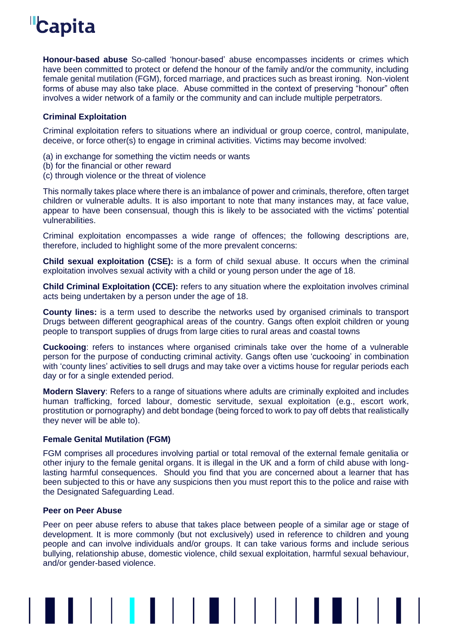**Honour-based abuse** So-called 'honour-based' abuse encompasses incidents or crimes which have been committed to protect or defend the honour of the family and/or the community, including female genital mutilation (FGM), forced marriage, and practices such as breast ironing. Non-violent forms of abuse may also take place. Abuse committed in the context of preserving "honour" often involves a wider network of a family or the community and can include multiple perpetrators.

## <span id="page-23-0"></span>**Criminal Exploitation**

Criminal exploitation refers to situations where an individual or group coerce, control, manipulate, deceive, or force other(s) to engage in criminal activities. Victims may become involved:

- (a) in exchange for something the victim needs or wants
- (b) for the financial or other reward
- (c) through violence or the threat of violence

This normally takes place where there is an imbalance of power and criminals, therefore, often target children or vulnerable adults. It is also important to note that many instances may, at face value, appear to have been consensual, though this is likely to be associated with the victims' potential vulnerabilities.

Criminal exploitation encompasses a wide range of offences; the following descriptions are, therefore, included to highlight some of the more prevalent concerns:

**Child sexual exploitation (CSE):** is a form of child sexual abuse. It occurs when the criminal exploitation involves sexual activity with a child or young person under the age of 18.

**Child Criminal Exploitation (CCE):** refers to any situation where the exploitation involves criminal acts being undertaken by a person under the age of 18.

**County lines:** is a term used to describe the networks used by organised criminals to transport Drugs between different geographical areas of the country. Gangs often exploit children or young people to transport supplies of drugs from large cities to rural areas and coastal towns

**Cuckooing**: refers to instances where organised criminals take over the home of a vulnerable person for the purpose of conducting criminal activity. Gangs often use 'cuckooing' in combination with 'county lines' activities to sell drugs and may take over a victims house for regular periods each day or for a single extended period.

**Modern Slavery**: Refers to a range of situations where adults are criminally exploited and includes human trafficking, forced labour, domestic servitude, sexual exploitation (e.g., escort work, prostitution or pornography) and debt bondage (being forced to work to pay off debts that realistically they never will be able to).

## <span id="page-23-1"></span>**Female Genital Mutilation (FGM)**

FGM comprises all procedures involving partial or total removal of the external female genitalia or other injury to the female genital organs. It is illegal in the UK and a form of child abuse with longlasting harmful consequences. Should you find that you are concerned about a learner that has been subjected to this or have any suspicions then you must report this to the police and raise with the Designated Safeguarding Lead.

## <span id="page-23-2"></span>**Peer on Peer Abuse**

Peer on peer abuse refers to abuse that takes place between people of a similar age or stage of development. It is more commonly (but not exclusively) used in reference to children and young people and can involve individuals and/or groups. It can take various forms and include serious bullying, relationship abuse, domestic violence, child sexual exploitation, harmful sexual behaviour, and/or gender-based violence.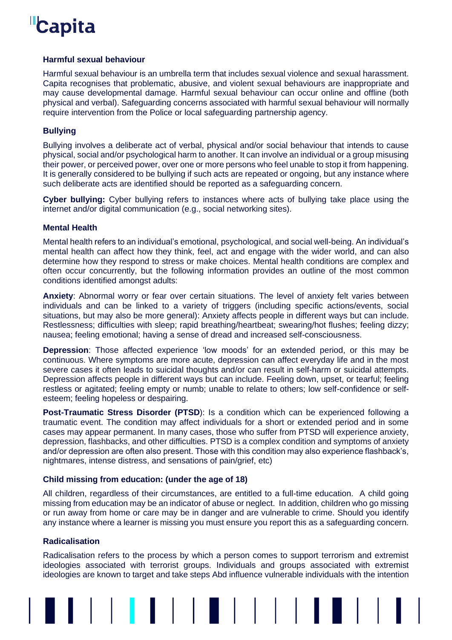### <span id="page-24-0"></span>**Harmful sexual behaviour**

Harmful sexual behaviour is an umbrella term that includes sexual violence and sexual harassment. Capita recognises that problematic, abusive, and violent sexual behaviours are inappropriate and may cause developmental damage. Harmful sexual behaviour can occur online and offline (both physical and verbal). Safeguarding concerns associated with harmful sexual behaviour will normally require intervention from the Police or local safeguarding partnership agency.

## <span id="page-24-1"></span>**Bullying**

Bullying involves a deliberate act of verbal, physical and/or social behaviour that intends to cause physical, social and/or psychological harm to another. It can involve an individual or a group misusing their power, or perceived power, over one or more persons who feel unable to stop it from happening. It is generally considered to be bullying if such acts are repeated or ongoing, but any instance where such deliberate acts are identified should be reported as a safeguarding concern.

**Cyber bullying:** Cyber bullying refers to instances where acts of bullying take place using the internet and/or digital communication (e.g., social networking sites).

#### <span id="page-24-2"></span>**Mental Health**

Mental health refers to an individual's emotional, psychological, and social well-being. An individual's mental health can affect how they think, feel, act and engage with the wider world, and can also determine how they respond to stress or make choices. Mental health conditions are complex and often occur concurrently, but the following information provides an outline of the most common conditions identified amongst adults:

**Anxiety**: Abnormal worry or fear over certain situations. The level of anxiety felt varies between individuals and can be linked to a variety of triggers (including specific actions/events, social situations, but may also be more general): Anxiety affects people in different ways but can include. Restlessness; difficulties with sleep; rapid breathing/heartbeat; swearing/hot flushes; feeling dizzy; nausea; feeling emotional; having a sense of dread and increased self-consciousness.

**Depression**: Those affected experience 'low moods' for an extended period, or this may be continuous. Where symptoms are more acute, depression can affect everyday life and in the most severe cases it often leads to suicidal thoughts and/or can result in self-harm or suicidal attempts. Depression affects people in different ways but can include. Feeling down, upset, or tearful; feeling restless or agitated; feeling empty or numb; unable to relate to others; low self-confidence or selfesteem; feeling hopeless or despairing.

**Post-Traumatic Stress Disorder (PTSD**): Is a condition which can be experienced following a traumatic event. The condition may affect individuals for a short or extended period and in some cases may appear permanent. In many cases, those who suffer from PTSD will experience anxiety, depression, flashbacks, and other difficulties. PTSD is a complex condition and symptoms of anxiety and/or depression are often also present. Those with this condition may also experience flashback's, nightmares, intense distress, and sensations of pain/grief, etc)

## <span id="page-24-3"></span>**Child missing from education: (under the age of 18)**

All children, regardless of their circumstances, are entitled to a full-time education. A child going missing from education may be an indicator of abuse or neglect. In addition, children who go missing or run away from home or care may be in danger and are vulnerable to crime. Should you identify any instance where a learner is missing you must ensure you report this as a safeguarding concern.

#### <span id="page-24-4"></span>**Radicalisation**

Radicalisation refers to the process by which a person comes to support terrorism and extremist ideologies associated with terrorist groups. Individuals and groups associated with extremist ideologies are known to target and take steps Abd influence vulnerable individuals with the intention

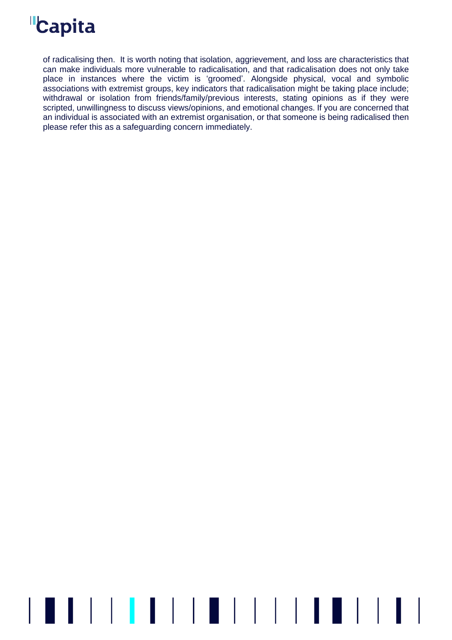of radicalising then. It is worth noting that isolation, aggrievement, and loss are characteristics that can make individuals more vulnerable to radicalisation, and that radicalisation does not only take place in instances where the victim is 'groomed'. Alongside physical, vocal and symbolic associations with extremist groups, key indicators that radicalisation might be taking place include; withdrawal or isolation from friends/family/previous interests, stating opinions as if they were scripted, unwillingness to discuss views/opinions, and emotional changes. If you are concerned that an individual is associated with an extremist organisation, or that someone is being radicalised then please refer this as a safeguarding concern immediately.

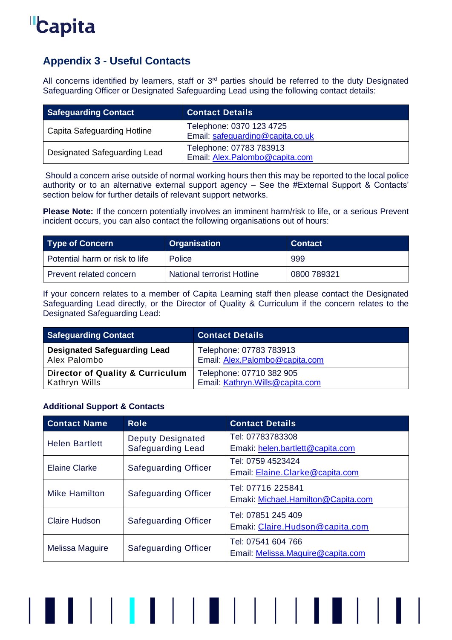

# <span id="page-26-0"></span>**Appendix 3 - Useful Contacts**

All concerns identified by learners, staff or  $3<sup>rd</sup>$  parties should be referred to the duty Designated Safeguarding Officer or Designated Safeguarding Lead using the following contact details:

| <b>Safeguarding Contact</b>  | <b>Contact Details</b>                                       |
|------------------------------|--------------------------------------------------------------|
| Capita Safeguarding Hotline  | Telephone: 0370 123 4725<br>Email: safeguarding@capita.co.uk |
| Designated Safeguarding Lead | Telephone: 07783 783913<br>Email: Alex.Palombo@capita.com    |

Should a concern arise outside of normal working hours then this may be reported to the local police authority or to an alternative external support agency – See the #External Support & Contacts' section below for further details of relevant support networks.

**Please Note:** If the concern potentially involves an imminent harm/risk to life, or a serious Prevent incident occurs, you can also contact the following organisations out of hours:

| <b>Type of Concern</b>         | <b>Organisation</b>               | <b>Contact</b> |
|--------------------------------|-----------------------------------|----------------|
| Potential harm or risk to life | <b>Police</b>                     | 999            |
| Prevent related concern        | <b>National terrorist Hotline</b> | 0800 789321    |

If your concern relates to a member of Capita Learning staff then please contact the Designated Safeguarding Lead directly, or the Director of Quality & Curriculum if the concern relates to the Designated Safeguarding Lead:

| <b>Safeguarding Contact</b>                 | <b>Contact Details</b>           |
|---------------------------------------------|----------------------------------|
| <b>Designated Safeguarding Lead</b>         | Telephone: 07783 783913          |
| Alex Palombo                                | Email: Alex.Palombo@capita.com   |
| <b>Director of Quality &amp; Curriculum</b> | Telephone: 07710 382 905         |
| Kathryn Wills                               | Email: Kathryn. Wills@capita.com |

## <span id="page-26-1"></span>**Additional Support & Contacts**

| <b>Contact Name</b>                                 | <b>Role</b>                 | <b>Contact Details</b>             |
|-----------------------------------------------------|-----------------------------|------------------------------------|
| <b>Helen Bartlett</b>                               | <b>Deputy Designated</b>    | Tel: 07783783308                   |
|                                                     | <b>Safeguarding Lead</b>    | Emaki: helen.bartlett@capita.com   |
|                                                     |                             | Tel: 0759 4523424                  |
| <b>Elaine Clarke</b><br><b>Safeguarding Officer</b> |                             | Email: Elaine. Clarke@capita.com   |
|                                                     |                             | Tel: 07716 225841                  |
| <b>Mike Hamilton</b>                                | <b>Safeguarding Officer</b> | Emaki: Michael.Hamilton@Capita.com |
| <b>Claire Hudson</b>                                |                             | Tel: 07851 245 409                 |
|                                                     | <b>Safeguarding Officer</b> | Emaki: Claire.Hudson@capita.com    |
|                                                     |                             | Tel: 07541 604 766                 |
| Melissa Maguire                                     | <b>Safeguarding Officer</b> | Email: Melissa.Maguire@capita.com  |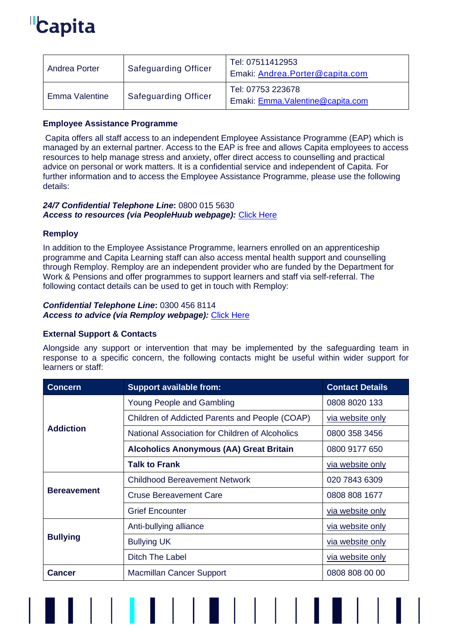| Andrea Porter  | <b>Safeguarding Officer</b> | Tel: 07511412953<br>Emaki: Andrea.Porter@capita.com    |
|----------------|-----------------------------|--------------------------------------------------------|
| Emma Valentine | <b>Safeguarding Officer</b> | Tel: 07753 223678<br>Emaki: Emma. Valentine@capita.com |

## <span id="page-27-0"></span>**Employee Assistance Programme**

Capita offers all staff access to an independent Employee Assistance Programme (EAP) which is managed by an external partner. Access to the EAP is free and allows Capita employees to access resources to help manage stress and anxiety, offer direct access to counselling and practical advice on personal or work matters. It is a confidential service and independent of Capita. For further information and to access the Employee Assistance Programme, please use the following details:

## *24/7 Confidential Telephone Line***:** 0800 015 5630 *Access to resources (via PeopleHuub webpage):* [Click Here](https://capitapeoplehub.custhelp.com/app/answers/detail/a_id/893/kw/employee%20assistance%20programme)

## <span id="page-27-1"></span>**Remploy**

In addition to the Employee Assistance Programme, learners enrolled on an apprenticeship programme and Capita Learning staff can also access mental health support and counselling through Remploy. Remploy are an independent provider who are funded by the Department for Work & Pensions and offer programmes to support learners and staff via self-referral. The following contact details can be used to get in touch with Remploy:

# *Confidential Telephone Line***:** 0300 456 8114

*Access to advice (via Remploy webpage):* [Click Here](https://www.remploy.co.uk/employers/mental-health-and-wellbeing/workplace-mental-health-support-service-employers)

## <span id="page-27-2"></span>**External Support & Contacts**

Alongside any support or intervention that may be implemented by the safeguarding team in response to a specific concern, the following contacts might be useful within wider support for learners or staff:

| <b>Concern</b>     | <b>Support available from:</b>                  | <b>Contact Details</b> |
|--------------------|-------------------------------------------------|------------------------|
|                    | Young People and Gambling                       | 0808 8020 133          |
|                    | Children of Addicted Parents and People (COAP)  | via website only       |
| <b>Addiction</b>   | National Association for Children of Alcoholics | 0800 358 3456          |
|                    | <b>Alcoholics Anonymous (AA) Great Britain</b>  | 0800 9177 650          |
|                    | <b>Talk to Frank</b>                            | via website only       |
|                    | <b>Childhood Bereavement Network</b>            | 020 7843 6309          |
| <b>Bereavement</b> | <b>Cruse Bereavement Care</b>                   | 0808 808 1677          |
|                    | <b>Grief Encounter</b>                          | via website only       |
|                    | Anti-bullying alliance                          | via website only       |
| <b>Bullying</b>    | <b>Bullying UK</b>                              | via website only       |
|                    | <b>Ditch The Label</b>                          | via website only       |
| <b>Cancer</b>      | <b>Macmillan Cancer Support</b>                 | 0808 808 00 00         |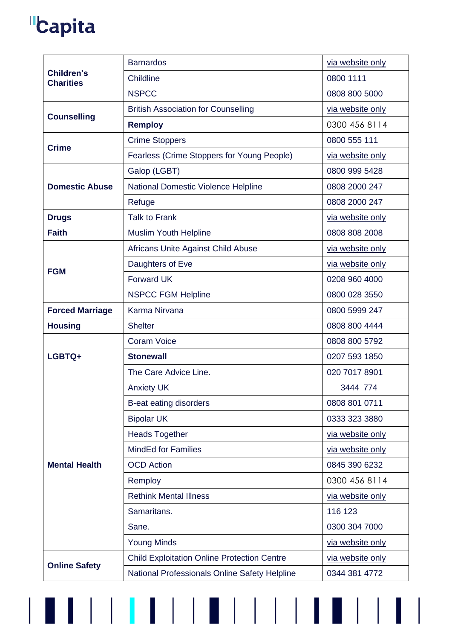$\begin{array}{c} \end{array}$ 

|                                            | <b>Barnardos</b>                                   | via website only |
|--------------------------------------------|----------------------------------------------------|------------------|
| <b>Children's</b><br><b>Charities</b>      | Childline                                          | 0800 1111        |
|                                            | <b>NSPCC</b>                                       | 0808 800 5000    |
| <b>British Association for Counselling</b> |                                                    | via website only |
| <b>Counselling</b>                         | <b>Remploy</b>                                     | 0300 456 8114    |
| <b>Crime</b>                               | <b>Crime Stoppers</b>                              | 0800 555 111     |
|                                            | Fearless (Crime Stoppers for Young People)         | via website only |
|                                            | Galop (LGBT)                                       | 0800 999 5428    |
| <b>Domestic Abuse</b>                      | National Domestic Violence Helpline                | 0808 2000 247    |
|                                            | Refuge                                             | 0808 2000 247    |
| <b>Drugs</b>                               | <b>Talk to Frank</b>                               | via website only |
| <b>Faith</b>                               | <b>Muslim Youth Helpline</b>                       | 0808 808 2008    |
|                                            | Africans Unite Against Child Abuse                 | via website only |
| <b>FGM</b>                                 | Daughters of Eve                                   | via website only |
|                                            | <b>Forward UK</b>                                  | 0208 960 4000    |
|                                            | <b>NSPCC FGM Helpline</b>                          | 0800 028 3550    |
| <b>Forced Marriage</b>                     | Karma Nirvana<br>0800 5999 247                     |                  |
| <b>Housing</b>                             | <b>Shelter</b>                                     | 0808 800 4444    |
|                                            |                                                    |                  |
|                                            | <b>Coram Voice</b>                                 | 0808 800 5792    |
| LGBTQ+                                     | <b>Stonewall</b>                                   | 0207 593 1850    |
|                                            | The Care Advice Line.                              | 020 7017 8901    |
|                                            | <b>Anxiety UK</b>                                  | 3444 774         |
|                                            | B-eat eating disorders                             | 0808 801 0711    |
|                                            | <b>Bipolar UK</b>                                  | 0333 323 3880    |
|                                            | <b>Heads Together</b>                              | via website only |
|                                            | <b>MindEd for Families</b>                         | via website only |
| <b>Mental Health</b>                       | <b>OCD</b> Action                                  | 0845 390 6232    |
|                                            | Remploy                                            | 0300 456 8114    |
|                                            | <b>Rethink Mental Illness</b>                      | via website only |
|                                            | Samaritans.                                        | 116 123          |
|                                            | Sane.                                              | 0300 304 7000    |
|                                            | <b>Young Minds</b>                                 | via website only |
| <b>Online Safety</b>                       | <b>Child Exploitation Online Protection Centre</b> | via website only |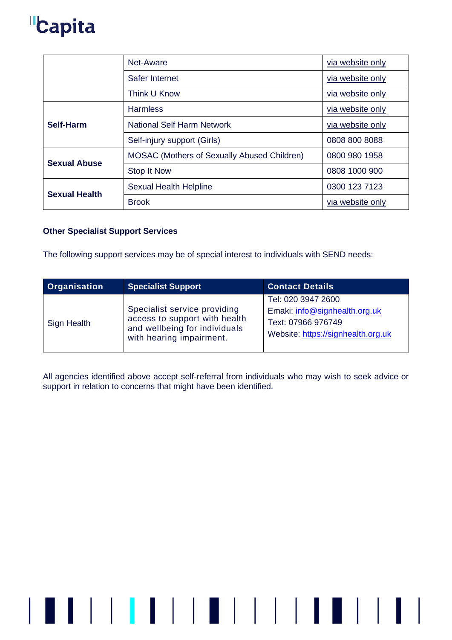|                      | Net-Aware                                          | via website only |
|----------------------|----------------------------------------------------|------------------|
|                      | Safer Internet                                     | via website only |
|                      | Think U Know                                       | via website only |
|                      | <b>Harmless</b>                                    | via website only |
| Self-Harm            | <b>National Self Harm Network</b>                  | via website only |
|                      | Self-injury support (Girls)                        | 0808 800 8088    |
| <b>Sexual Abuse</b>  | <b>MOSAC (Mothers of Sexually Abused Children)</b> | 0800 980 1958    |
|                      | Stop It Now                                        | 0808 1000 900    |
| <b>Sexual Health</b> | <b>Sexual Health Helpline</b>                      | 0300 123 7123    |
|                      | <b>Brook</b>                                       | via website only |

## <span id="page-29-0"></span>**Other Specialist Support Services**

The following support services may be of special interest to individuals with SEND needs:

| Organisation | <b>Specialist Support</b>                                                                                                  | <b>Contact Details</b>                                                                                          |
|--------------|----------------------------------------------------------------------------------------------------------------------------|-----------------------------------------------------------------------------------------------------------------|
| Sign Health  | Specialist service providing<br>access to support with health<br>and wellbeing for individuals<br>with hearing impairment. | Tel: 020 3947 2600<br>Emaki: info@signhealth.org.uk<br>Text: 07966 976749<br>Website: https://signhealth.org.uk |

All agencies identified above accept self-referral from individuals who may wish to seek advice or support in relation to concerns that might have been identified.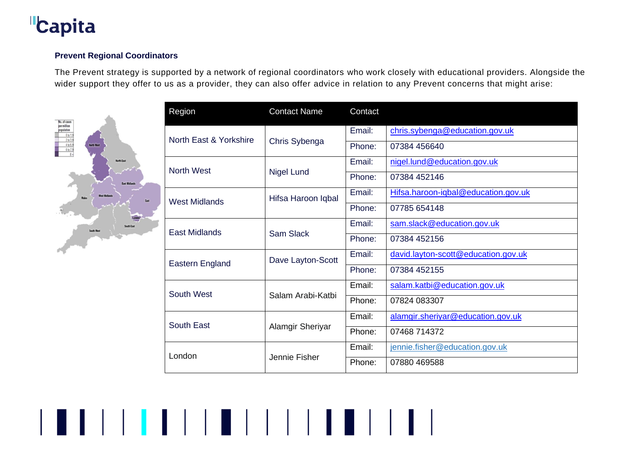

## **Prevent Regional Coordinators**

The Prevent strategy is supported by a network of regional coordinators who work closely with educational providers. Alongside the wider support they offer to us as a provider, they can also offer advice in relation to any Prevent concerns that might arise:

▌▌▏▏▏<mark>▏</mark>▐▕▏▏▏▊▏▏▏▏▏▏▏▌▐▏▊▏▏▏▏

<span id="page-30-0"></span>

| Region                 | <b>Contact Name</b> | Contact |                                     |
|------------------------|---------------------|---------|-------------------------------------|
|                        |                     | Email:  | chris.sybenga@education.gov.uk      |
| North East & Yorkshire | Chris Sybenga       | Phone:  | 07384 456640                        |
| <b>North West</b>      |                     | Email:  | nigel.lund@education.gov.uk         |
|                        | Nigel Lund          | Phone:  | 07384 452146                        |
| <b>West Midlands</b>   | Hifsa Haroon Iqbal  | Email:  | Hifsa.haroon-iqbal@education.gov.uk |
|                        |                     | Phone:  | 07785 654148                        |
| <b>East Midlands</b>   |                     | Email:  | sam.slack@education.gov.uk          |
|                        | <b>Sam Slack</b>    | Phone:  | 07384 452156                        |
| <b>Eastern England</b> | Dave Layton-Scott   | Email:  | david.layton-scott@education.gov.uk |
|                        |                     | Phone:  | 07384 452155                        |
| <b>South West</b>      |                     | Email:  | salam.katbi@education.gov.uk        |
|                        | Salam Arabi-Katbi   | Phone:  | 07824 083307                        |
| <b>South East</b>      |                     | Email:  | alamgir.sheriyar@education.gov.uk   |
|                        | Alamgir Sheriyar    | Phone:  | 07468 714372                        |
| London                 |                     | Email:  | jennie.fisher@education.gov.uk      |
|                        | Jennie Fisher       | Phone:  | 07880 469588                        |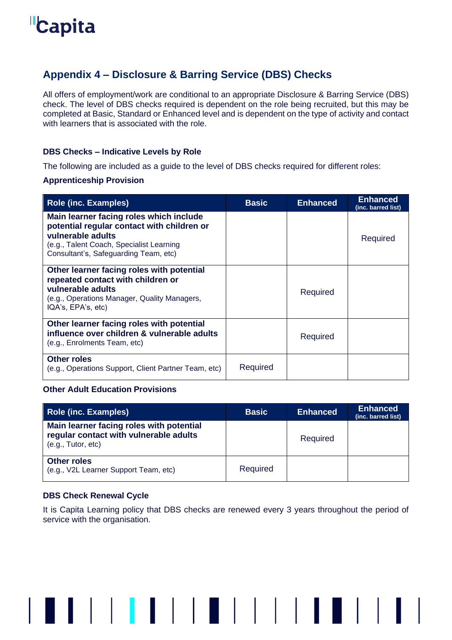# <span id="page-31-0"></span>**Appendix 4 – Disclosure & Barring Service (DBS) Checks**

All offers of employment/work are conditional to an appropriate Disclosure & Barring Service (DBS) check. The level of DBS checks required is dependent on the role being recruited, but this may be completed at Basic, Standard or Enhanced level and is dependent on the type of activity and contact with learners that is associated with the role.

## <span id="page-31-1"></span>**DBS Checks – Indicative Levels by Role**

The following are included as a guide to the level of DBS checks required for different roles:

### **Apprenticeship Provision**

| <b>Role (inc. Examples)</b>                                                                                                                                                                     | <b>Basic</b> | <b>Enhanced</b> | <b>Enhanced</b><br>(inc. barred list) |
|-------------------------------------------------------------------------------------------------------------------------------------------------------------------------------------------------|--------------|-----------------|---------------------------------------|
| Main learner facing roles which include<br>potential regular contact with children or<br>vulnerable adults<br>(e.g., Talent Coach, Specialist Learning<br>Consultant's, Safeguarding Team, etc) |              |                 | Required                              |
| Other learner facing roles with potential<br>repeated contact with children or<br>vulnerable adults<br>(e.g., Operations Manager, Quality Managers,<br>IQA's, EPA's, etc)                       |              | Required        |                                       |
| Other learner facing roles with potential<br>influence over children & vulnerable adults<br>(e.g., Enrolments Team, etc)                                                                        |              | Required        |                                       |
| <b>Other roles</b><br>(e.g., Operations Support, Client Partner Team, etc)                                                                                                                      | Required     |                 |                                       |

## **Other Adult Education Provisions**

| Role (inc. Examples)                                                                                     | <b>Basic</b> | <b>Enhanced</b> | <b>Enhanced</b><br>(inc. barred list) |
|----------------------------------------------------------------------------------------------------------|--------------|-----------------|---------------------------------------|
| Main learner facing roles with potential<br>regular contact with vulnerable adults<br>(e.g., Tutor, etc) |              | Required        |                                       |
| <b>Other roles</b><br>(e.g., V2L Learner Support Team, etc)                                              | Required     |                 |                                       |

## <span id="page-31-2"></span>**DBS Check Renewal Cycle**

It is Capita Learning policy that DBS checks are renewed every 3 years throughout the period of service with the organisation.

▌▌▏▏▏▌▐▏▎▏▌▐▏▏▏▏▏▏▏▏▌▐▏▌▏▏▏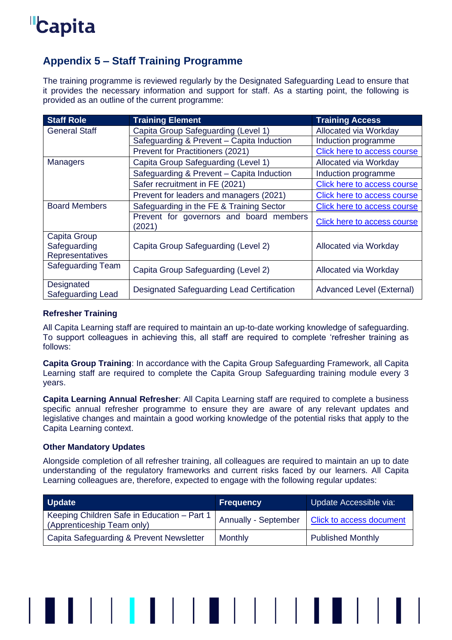

# <span id="page-32-0"></span>**Appendix 5 – Staff Training Programme**

The training programme is reviewed regularly by the Designated Safeguarding Lead to ensure that it provides the necessary information and support for staff. As a starting point, the following is provided as an outline of the current programme:

| <b>Staff Role</b>                               | <b>Training Element</b>                           | <b>Training Access</b>      |
|-------------------------------------------------|---------------------------------------------------|-----------------------------|
| <b>General Staff</b>                            | Capita Group Safeguarding (Level 1)               | Allocated via Workday       |
|                                                 | Safeguarding & Prevent - Capita Induction         | Induction programme         |
|                                                 | Prevent for Practitioners (2021)                  | Click here to access course |
| <b>Managers</b>                                 | Capita Group Safeguarding (Level 1)               | Allocated via Workday       |
|                                                 | Safeguarding & Prevent - Capita Induction         | Induction programme         |
|                                                 | Safer recruitment in FE (2021)                    | Click here to access course |
|                                                 | Prevent for leaders and managers (2021)           | Click here to access course |
| <b>Board Members</b>                            | Safeguarding in the FE & Training Sector          | Click here to access course |
|                                                 | Prevent for governors and board members<br>(2021) | Click here to access course |
| Capita Group<br>Safeguarding<br>Representatives | Capita Group Safeguarding (Level 2)               | Allocated via Workday       |
| <b>Safeguarding Team</b>                        | Capita Group Safeguarding (Level 2)               | Allocated via Workday       |
| Designated<br>Safeguarding Lead                 | Designated Safeguarding Lead Certification        | Advanced Level (External)   |

## <span id="page-32-1"></span>**Refresher Training**

All Capita Learning staff are required to maintain an up-to-date working knowledge of safeguarding. To support colleagues in achieving this, all staff are required to complete 'refresher training as follows:

**Capita Group Training**: In accordance with the Capita Group Safeguarding Framework, all Capita Learning staff are required to complete the Capita Group Safeguarding training module every 3 years.

**Capita Learning Annual Refresher**: All Capita Learning staff are required to complete a business specific annual refresher programme to ensure they are aware of any relevant updates and legislative changes and maintain a good working knowledge of the potential risks that apply to the Capita Learning context.

## <span id="page-32-2"></span>**Other Mandatory Updates**

Alongside completion of all refresher training, all colleagues are required to maintain an up to date understanding of the regulatory frameworks and current risks faced by our learners. All Capita Learning colleagues are, therefore, expected to engage with the following regular updates:

| <b>Update</b>                                                             | <b>Frequency</b>     | Update Accessible via:   |
|---------------------------------------------------------------------------|----------------------|--------------------------|
| Keeping Children Safe in Education - Part 1<br>(Apprenticeship Team only) | Annually - September | Click to access document |
| Capita Safeguarding & Prevent Newsletter                                  | Monthly              | <b>Published Monthly</b> |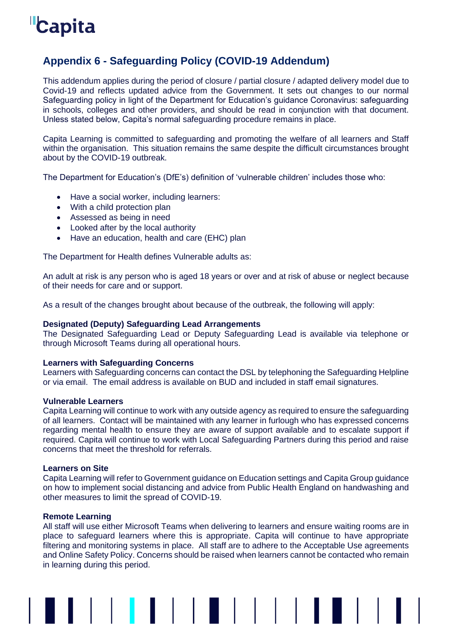# <span id="page-33-0"></span>**Appendix 6 - Safeguarding Policy (COVID-19 Addendum)**

This addendum applies during the period of closure / partial closure / adapted delivery model due to Covid-19 and reflects updated advice from the Government. It sets out changes to our normal Safeguarding policy in light of the Department for Education's guidance Coronavirus: safeguarding in schools, colleges and other providers, and should be read in conjunction with that document. Unless stated below, Capita's normal safeguarding procedure remains in place.

Capita Learning is committed to safeguarding and promoting the welfare of all learners and Staff within the organisation. This situation remains the same despite the difficult circumstances brought about by the COVID-19 outbreak.

The Department for Education's (DfE's) definition of 'vulnerable children' includes those who:

- Have a social worker, including learners:
- With a child protection plan
- Assessed as being in need
- Looked after by the local authority
- Have an education, health and care (EHC) plan

The Department for Health defines Vulnerable adults as:

An adult at risk is any person who is aged 18 years or over and at risk of abuse or neglect because of their needs for care and or support.

As a result of the changes brought about because of the outbreak, the following will apply:

#### **Designated (Deputy) Safeguarding Lead Arrangements**

The Designated Safeguarding Lead or Deputy Safeguarding Lead is available via telephone or through Microsoft Teams during all operational hours.

#### **Learners with Safeguarding Concerns**

Learners with Safeguarding concerns can contact the DSL by telephoning the Safeguarding Helpline or via email. The email address is available on BUD and included in staff email signatures.

#### **Vulnerable Learners**

Capita Learning will continue to work with any outside agency as required to ensure the safeguarding of all learners. Contact will be maintained with any learner in furlough who has expressed concerns regarding mental health to ensure they are aware of support available and to escalate support if required. Capita will continue to work with Local Safeguarding Partners during this period and raise concerns that meet the threshold for referrals.

#### **Learners on Site**

Capita Learning will refer to Government guidance on Education settings and Capita Group guidance on how to implement social distancing and advice from Public Health England on handwashing and other measures to limit the spread of COVID-19.

#### **Remote Learning**

All staff will use either Microsoft Teams when delivering to learners and ensure waiting rooms are in place to safeguard learners where this is appropriate. Capita will continue to have appropriate filtering and monitoring systems in place. All staff are to adhere to the Acceptable Use agreements and Online Safety Policy. Concerns should be raised when learners cannot be contacted who remain in learning during this period.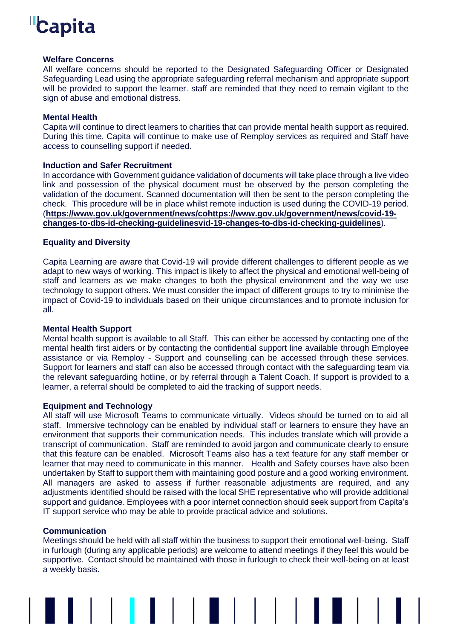#### **Welfare Concerns**

All welfare concerns should be reported to the Designated Safeguarding Officer or Designated Safeguarding Lead using the appropriate safeguarding referral mechanism and appropriate support will be provided to support the learner. staff are reminded that they need to remain vigilant to the sign of abuse and emotional distress.

#### **Mental Health**

Capita will continue to direct learners to charities that can provide mental health support as required. During this time, Capita will continue to make use of Remploy services as required and Staff have access to counselling support if needed.

### **Induction and Safer Recruitment**

In accordance with Government guidance validation of documents will take place through a live video link and possession of the physical document must be observed by the person completing the validation of the document. Scanned documentation will then be sent to the person completing the check. This procedure will be in place whilst remote induction is used during the COVID-19 period. (**[https://www.gov.uk/government/news/cohttps://www.gov.uk/government/news/covid-19](https://www.gov.uk/government/news/cohttps:/www.gov.uk/government/news/covid-19-changes-to-dbs-id-checking-guidelinesvid-19-changes-to-dbs-id-checking-guidelines) [changes-to-dbs-id-checking-guidelinesvid-19-changes-to-dbs-id-checking-guidelines](https://www.gov.uk/government/news/cohttps:/www.gov.uk/government/news/covid-19-changes-to-dbs-id-checking-guidelinesvid-19-changes-to-dbs-id-checking-guidelines)**).

### **Equality and Diversity**

Capita Learning are aware that Covid-19 will provide different challenges to different people as we adapt to new ways of working. This impact is likely to affect the physical and emotional well-being of staff and learners as we make changes to both the physical environment and the way we use technology to support others. We must consider the impact of different groups to try to minimise the impact of Covid-19 to individuals based on their unique circumstances and to promote inclusion for all.

#### **Mental Health Support**

Mental health support is available to all Staff. This can either be accessed by contacting one of the mental health first aiders or by contacting the confidential support line available through Employee assistance or via Remploy - Support and counselling can be accessed through these services. Support for learners and staff can also be accessed through contact with the safeguarding team via the relevant safeguarding hotline, or by referral through a Talent Coach. If support is provided to a learner, a referral should be completed to aid the tracking of support needs.

#### **Equipment and Technology**

All staff will use Microsoft Teams to communicate virtually. Videos should be turned on to aid all staff. Immersive technology can be enabled by individual staff or learners to ensure they have an environment that supports their communication needs. This includes translate which will provide a transcript of communication. Staff are reminded to avoid jargon and communicate clearly to ensure that this feature can be enabled. Microsoft Teams also has a text feature for any staff member or learner that may need to communicate in this manner. Health and Safety courses have also been undertaken by Staff to support them with maintaining good posture and a good working environment. All managers are asked to assess if further reasonable adjustments are required, and any adjustments identified should be raised with the local SHE representative who will provide additional support and guidance. Employees with a poor internet connection should seek support from Capita's IT support service who may be able to provide practical advice and solutions.

#### **Communication**

Meetings should be held with all staff within the business to support their emotional well-being. Staff in furlough (during any applicable periods) are welcome to attend meetings if they feel this would be supportive. Contact should be maintained with those in furlough to check their well-being on at least a weekly basis.

▌▌▏▏▏<mark>▏</mark>▐▕▏▏▏▊▕▏▏▏▏▏▏▌▐▏▊▏▏▏▏